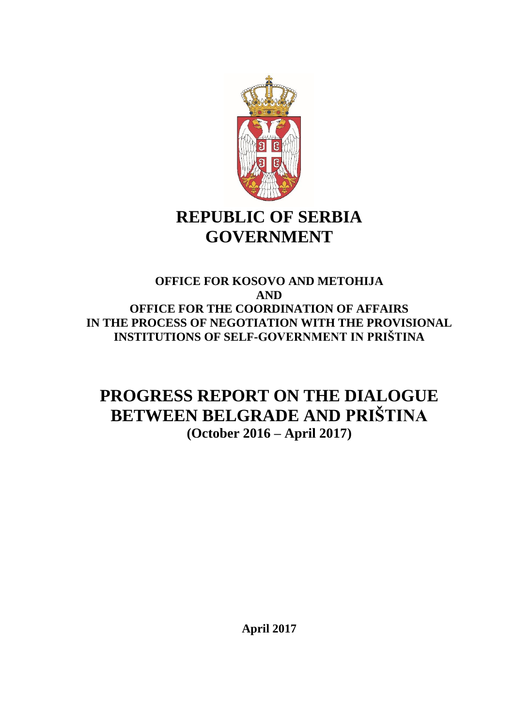

# **REPUBLIC OF SERBIA GOVERNMENT**

## **OFFICE FOR KOSOVO AND METOHIJA AND OFFICE FOR THE COORDINATION OF AFFAIRS IN THE PROCESS OF NEGOTIATION WITH THE PROVISIONAL INSTITUTIONS OF SELF-GOVERNMENT IN PRIŠTINA**

## **PROGRESS REPORT ON THE DIALOGUE BETWEEN BELGRADE AND PRIŠTINA (October 2016 – April 2017)**

**April 2017**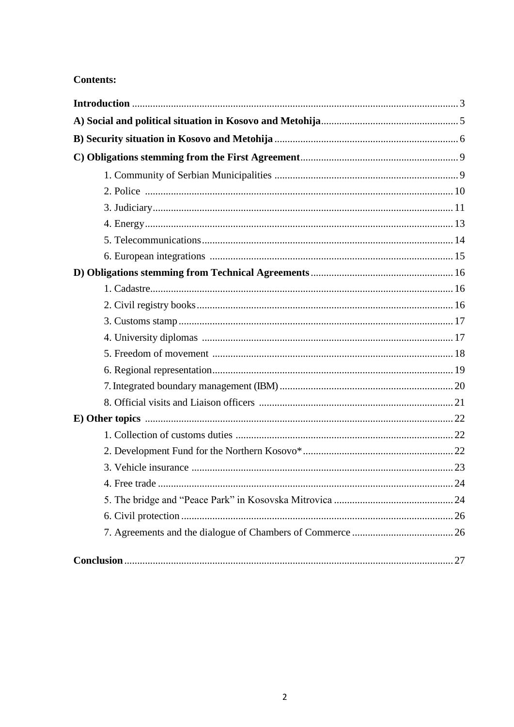## **Contents:**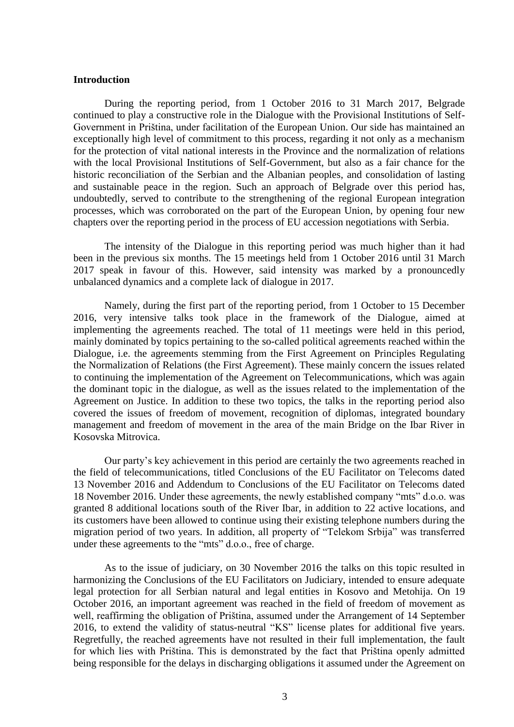#### **Introduction**

During the reporting period, from 1 October 2016 to 31 March 2017, Belgrade continued to play a constructive role in the Dialogue with the Provisional Institutions of Self-Government in Priština, under facilitation of the European Union. Our side has maintained an exceptionally high level of commitment to this process, regarding it not only as a mechanism for the protection of vital national interests in the Province and the normalization of relations with the local Provisional Institutions of Self-Government, but also as a fair chance for the historic reconciliation of the Serbian and the Albanian peoples, and consolidation of lasting and sustainable peace in the region. Such an approach of Belgrade over this period has, undoubtedly, served to contribute to the strengthening of the regional European integration processes, which was corroborated on the part of the European Union, by opening four new chapters over the reporting period in the process of EU accession negotiations with Serbia.

The intensity of the Dialogue in this reporting period was much higher than it had been in the previous six months. The 15 meetings held from 1 October 2016 until 31 March 2017 speak in favour of this. However, said intensity was marked by a pronouncedly unbalanced dynamics and a complete lack of dialogue in 2017.

Namely, during the first part of the reporting period, from 1 October to 15 December 2016, very intensive talks took place in the framework of the Dialogue, aimed at implementing the agreements reached. The total of 11 meetings were held in this period, mainly dominated by topics pertaining to the so-called political agreements reached within the Dialogue, i.e. the agreements stemming from the First Agreement on Principles Regulating the Normalization of Relations (the First Agreement). These mainly concern the issues related to continuing the implementation of the Agreement on Telecommunications, which was again the dominant topic in the dialogue, as well as the issues related to the implementation of the Agreement on Justice. In addition to these two topics, the talks in the reporting period also covered the issues of freedom of movement, recognition of diplomas, integrated boundary management and freedom of movement in the area of the main Bridge on the Ibar River in Kosovska Mitrovica.

Our party's key achievement in this period are certainly the two agreements reached in the field of telecommunications, titled Conclusions of the EU Facilitator on Telecoms dated 13 November 2016 and Addendum to Conclusions of the EU Facilitator on Telecoms dated 18 November 2016. Under these agreements, the newly established company "mts" d.o.o. was granted 8 additional locations south of the River Ibar, in addition to 22 active locations, and its customers have been allowed to continue using their existing telephone numbers during the migration period of two years. In addition, all property of "Telekom Srbija" was transferred under these agreements to the "mts" d.o.o., free of charge.

As to the issue of judiciary, on 30 November 2016 the talks on this topic resulted in harmonizing the Conclusions of the EU Facilitators on Judiciary, intended to ensure adequate legal protection for all Serbian natural and legal entities in Kosovo and Metohija. On 19 October 2016, an important agreement was reached in the field of freedom of movement as well, reaffirming the obligation of Priština, assumed under the Arrangement of 14 September 2016, to extend the validity of status-neutral "KS" license plates for additional five years. Regretfully, the reached agreements have not resulted in their full implementation, the fault for which lies with Priština. This is demonstrated by the fact that Priština openly admitted being responsible for the delays in discharging obligations it assumed under the Agreement on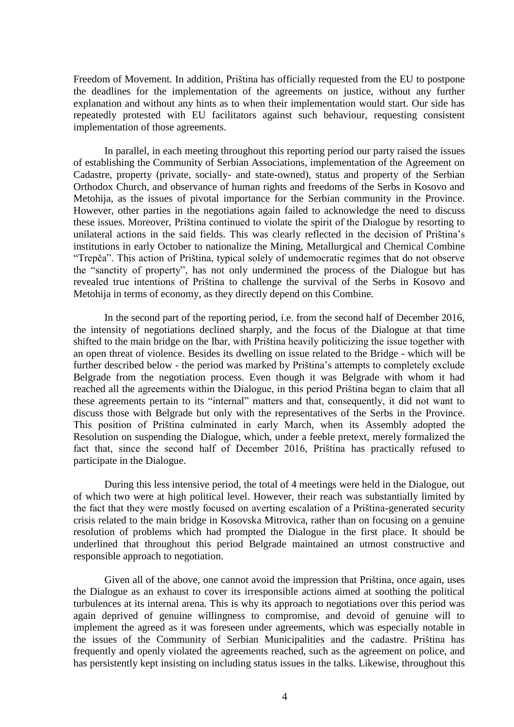Freedom of Movement. In addition, Priština has officially requested from the EU to postpone the deadlines for the implementation of the agreements on justice, without any further explanation and without any hints as to when their implementation would start. Our side has repeatedly protested with EU facilitators against such behaviour, requesting consistent implementation of those agreements.

In parallel, in each meeting throughout this reporting period our party raised the issues of establishing the Community of Serbian Associations, implementation of the Agreement on Cadastre, property (private, socially- and state-owned), status and property of the Serbian Orthodox Church, and observance of human rights and freedoms of the Serbs in Kosovo and Metohija, as the issues of pivotal importance for the Serbian community in the Province. However, other parties in the negotiations again failed to acknowledge the need to discuss these issues. Moreover, Priština continued to violate the spirit of the Dialogue by resorting to unilateral actions in the said fields. This was clearly reflected in the decision of Priština's institutions in early October to nationalize the Mining, Metallurgical and Chemical Combine "Trepča". This action of Priština, typical solely of undemocratic regimes that do not observe the "sanctity of property", has not only undermined the process of the Dialogue but has revealed true intentions of Priština to challenge the survival of the Serbs in Kosovo and Metohija in terms of economy, as they directly depend on this Combine.

In the second part of the reporting period, i.e. from the second half of December 2016, the intensity of negotiations declined sharply, and the focus of the Dialogue at that time shifted to the main bridge on the Ibar, with Priština heavily politicizing the issue together with an open threat of violence. Besides its dwelling on issue related to the Bridge - which will be further described below - the period was marked by Priština's attempts to completely exclude Belgrade from the negotiation process. Even though it was Belgrade with whom it had reached all the agreements within the Dialogue, in this period Priština began to claim that all these agreements pertain to its "internal" matters and that, consequently, it did not want to discuss those with Belgrade but only with the representatives of the Serbs in the Province. This position of Priština culminated in early March, when its Assembly adopted the Resolution on suspending the Dialogue, which, under a feeble pretext, merely formalized the fact that, since the second half of December 2016, Priština has practically refused to participate in the Dialogue.

During this less intensive period, the total of 4 meetings were held in the Dialogue, out of which two were at high political level. However, their reach was substantially limited by the fact that they were mostly focused on averting escalation of a Priština-generated security crisis related to the main bridge in Kosovska Mitrovica, rather than on focusing on a genuine resolution of problems which had prompted the Dialogue in the first place. It should be underlined that throughout this period Belgrade maintained an utmost constructive and responsible approach to negotiation.

Given all of the above, one cannot avoid the impression that Priština, once again, uses the Dialogue as an exhaust to cover its irresponsible actions aimed at soothing the political turbulences at its internal arena. This is why its approach to negotiations over this period was again deprived of genuine willingness to compromise, and devoid of genuine will to implement the agreed as it was foreseen under agreements, which was especially notable in the issues of the Community of Serbian Municipalities and the cadastre. Priština has frequently and openly violated the agreements reached, such as the agreement on police, and has persistently kept insisting on including status issues in the talks. Likewise, throughout this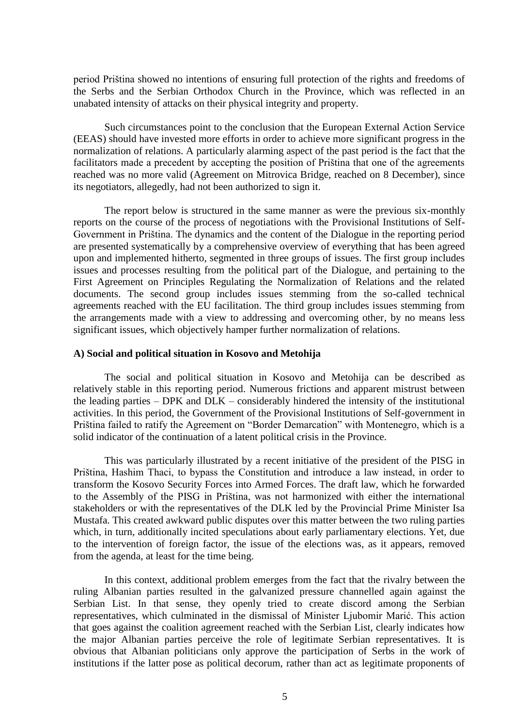period Priština showed no intentions of ensuring full protection of the rights and freedoms of the Serbs and the Serbian Orthodox Church in the Province, which was reflected in an unabated intensity of attacks on their physical integrity and property.

Such circumstances point to the conclusion that the European External Action Service (EEAS) should have invested more efforts in order to achieve more significant progress in the normalization of relations. A particularly alarming aspect of the past period is the fact that the facilitators made a precedent by accepting the position of Priština that one of the agreements reached was no more valid (Agreement on Mitrovica Bridge, reached on 8 December), since its negotiators, allegedly, had not been authorized to sign it.

The report below is structured in the same manner as were the previous six-monthly reports on the course of the process of negotiations with the Provisional Institutions of Self-Government in Priština. The dynamics and the content of the Dialogue in the reporting period are presented systematically by a comprehensive overview of everything that has been agreed upon and implemented hitherto, segmented in three groups of issues. The first group includes issues and processes resulting from the political part of the Dialogue, and pertaining to the First Agreement on Principles Regulating the Normalization of Relations and the related documents. The second group includes issues stemming from the so-called technical agreements reached with the EU facilitation. The third group includes issues stemming from the arrangements made with a view to addressing and overcoming other, by no means less significant issues, which objectively hamper further normalization of relations.

#### **A) Social and political situation in Kosovo and Metohija**

The social and political situation in Kosovo and Metohija can be described as relatively stable in this reporting period. Numerous frictions and apparent mistrust between the leading parties – DPK and DLK – considerably hindered the intensity of the institutional activities. In this period, the Government of the Provisional Institutions of Self-government in Priština failed to ratify the Agreement on "Border Demarcation" with Montenegro, which is a solid indicator of the continuation of a latent political crisis in the Province.

This was particularly illustrated by a recent initiative of the president of the PISG in Priština, Hashim Thaci, to bypass the Constitution and introduce a law instead, in order to transform the Kosovo Security Forces into Armed Forces. The draft law, which he forwarded to the Assembly of the PISG in Priština, was not harmonized with either the international stakeholders or with the representatives of the DLK led by the Provincial Prime Minister Isa Mustafa. This created awkward public disputes over this matter between the two ruling parties which, in turn, additionally incited speculations about early parliamentary elections. Yet, due to the intervention of foreign factor, the issue of the elections was, as it appears, removed from the agenda, at least for the time being.

In this context, additional problem emerges from the fact that the rivalry between the ruling Albanian parties resulted in the galvanized pressure channelled again against the Serbian List. In that sense, they openly tried to create discord among the Serbian representatives, which culminated in the dismissal of Minister Ljubomir Marić. This action that goes against the coalition agreement reached with the Serbian List, clearly indicates how the major Albanian parties perceive the role of legitimate Serbian representatives. It is obvious that Albanian politicians only approve the participation of Serbs in the work of institutions if the latter pose as political decorum, rather than act as legitimate proponents of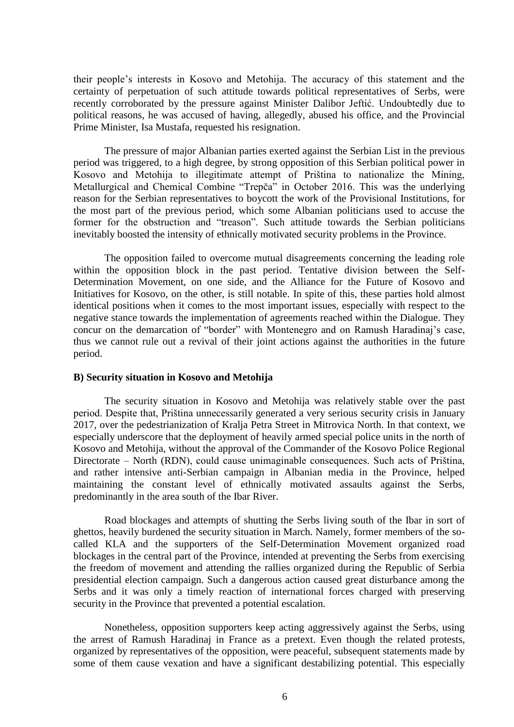their people's interests in Kosovo and Metohija. The accuracy of this statement and the certainty of perpetuation of such attitude towards political representatives of Serbs, were recently corroborated by the pressure against Minister Dalibor Jeftić. Undoubtedly due to political reasons, he was accused of having, allegedly, abused his office, and the Provincial Prime Minister, Isa Mustafa, requested his resignation.

The pressure of major Albanian parties exerted against the Serbian List in the previous period was triggered, to a high degree, by strong opposition of this Serbian political power in Kosovo and Metohija to illegitimate attempt of Priština to nationalize the Mining, Metallurgical and Chemical Combine "Trepča" in October 2016. This was the underlying reason for the Serbian representatives to boycott the work of the Provisional Institutions, for the most part of the previous period, which some Albanian politicians used to accuse the former for the obstruction and "treason". Such attitude towards the Serbian politicians inevitably boosted the intensity of ethnically motivated security problems in the Province.

The opposition failed to overcome mutual disagreements concerning the leading role within the opposition block in the past period. Tentative division between the Self-Determination Movement, on one side, and the Alliance for the Future of Kosovo and Initiatives for Kosovo, on the other, is still notable. In spite of this, these parties hold almost identical positions when it comes to the most important issues, especially with respect to the negative stance towards the implementation of agreements reached within the Dialogue. They concur on the demarcation of "border" with Montenegro and on Ramush Haradinaj's case, thus we cannot rule out a revival of their joint actions against the authorities in the future period.

#### **B) Security situation in Kosovo and Metohija**

The security situation in Kosovo and Metohija was relatively stable over the past period. Despite that, Priština unnecessarily generated a very serious security crisis in January 2017, over the pedestrianization of Kralja Petra Street in Mitrovica North. In that context, we especially underscore that the deployment of heavily armed special police units in the north of Kosovo and Metohija, without the approval of the Commander of the Kosovo Police Regional Directorate – North (RDN), could cause unimaginable consequences. Such acts of Priština, and rather intensive anti-Serbian campaign in Albanian media in the Province, helped maintaining the constant level of ethnically motivated assaults against the Serbs, predominantly in the area south of the Ibar River.

Road blockages and attempts of shutting the Serbs living south of the Ibar in sort of ghettos, heavily burdened the security situation in March. Namely, former members of the socalled KLA and the supporters of the Self-Determination Movement organized road blockages in the central part of the Province, intended at preventing the Serbs from exercising the freedom of movement and attending the rallies organized during the Republic of Serbia presidential election campaign. Such a dangerous action caused great disturbance among the Serbs and it was only a timely reaction of international forces charged with preserving security in the Province that prevented a potential escalation.

Nonetheless, opposition supporters keep acting aggressively against the Serbs, using the arrest of Ramush Haradinaj in France as a pretext. Even though the related protests, organized by representatives of the opposition, were peaceful, subsequent statements made by some of them cause vexation and have a significant destabilizing potential. This especially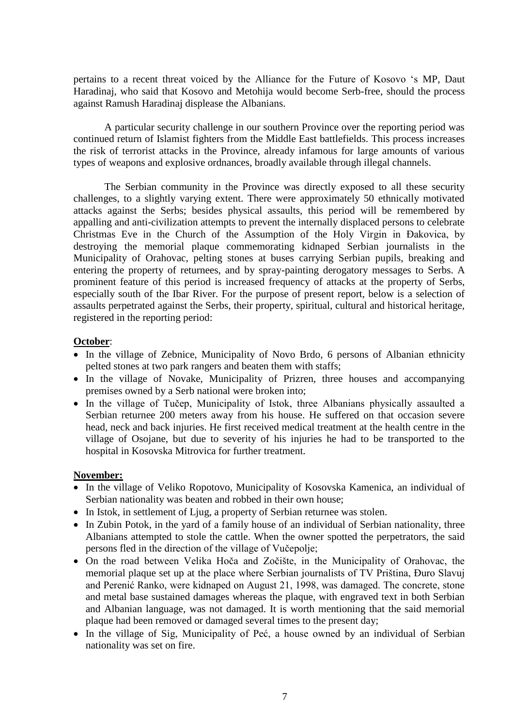pertains to a recent threat voiced by the Alliance for the Future of Kosovo 's MP, Daut Haradinaj, who said that Kosovo and Metohija would become Serb-free, should the process against Ramush Haradinaj displease the Albanians.

A particular security challenge in our southern Province over the reporting period was continued return of Islamist fighters from the Middle East battlefields. This process increases the risk of terrorist attacks in the Province, already infamous for large amounts of various types of weapons and explosive ordnances, broadly available through illegal channels.

The Serbian community in the Province was directly exposed to all these security challenges, to a slightly varying extent. There were approximately 50 ethnically motivated attacks against the Serbs; besides physical assaults, this period will be remembered by appalling and anti-civilization attempts to prevent the internally displaced persons to celebrate Christmas Eve in the Church of the Assumption of the Holy Virgin in Đakovica, by destroying the memorial plaque commemorating kidnaped Serbian journalists in the Municipality of Orahovac, pelting stones at buses carrying Serbian pupils, breaking and entering the property of returnees, and by spray-painting derogatory messages to Serbs. A prominent feature of this period is increased frequency of attacks at the property of Serbs, especially south of the Ibar River. For the purpose of present report, below is a selection of assaults perpetrated against the Serbs, their property, spiritual, cultural and historical heritage, registered in the reporting period:

### **October**:

- In the village of Zebnice, Municipality of Novo Brdo, 6 persons of Albanian ethnicity pelted stones at two park rangers and beaten them with staffs;
- In the village of Novake, Municipality of Prizren, three houses and accompanying premises owned by a Serb national were broken into;
- In the village of Tučep, Municipality of Istok, three Albanians physically assaulted a Serbian returnee 200 meters away from his house. He suffered on that occasion severe head, neck and back injuries. He first received medical treatment at the health centre in the village of Osojane, but due to severity of his injuries he had to be transported to the hospital in Kosovska Mitrovica for further treatment.

## **November:**

- In the village of Veliko Ropotovo, Municipality of Kosovska Kamenica, an individual of Serbian nationality was beaten and robbed in their own house;
- In Istok, in settlement of Ljug, a property of Serbian returnee was stolen.
- In Zubin Potok, in the yard of a family house of an individual of Serbian nationality, three Albanians attempted to stole the cattle. When the owner spotted the perpetrators, the said persons fled in the direction of the village of Vučepolje;
- On the road between Velika Hoča and Zočište, in the Municipality of Orahovac, the memorial plaque set up at the place where Serbian journalists of TV Priština, Đuro Slavuj and Perenić Ranko, were kidnaped on August 21, 1998, was damaged. The concrete, stone and metal base sustained damages whereas the plaque, with engraved text in both Serbian and Albanian language, was not damaged. It is worth mentioning that the said memorial plaque had been removed or damaged several times to the present day;
- In the village of Sig, Municipality of Peć, a house owned by an individual of Serbian nationality was set on fire.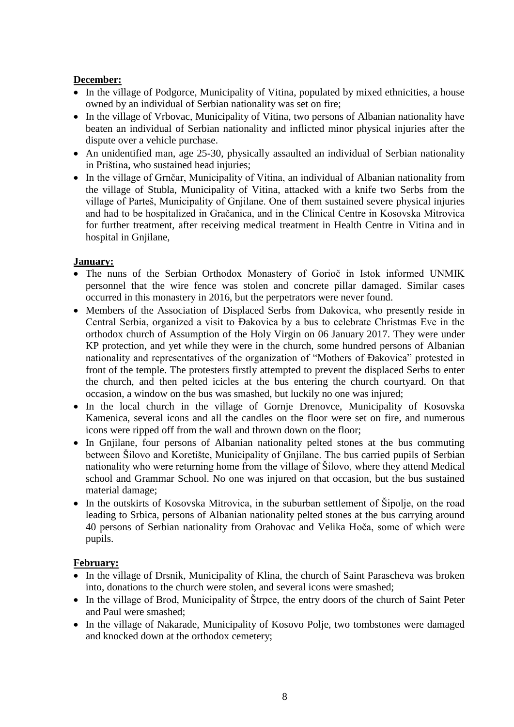## **December:**

- In the village of Podgorce, Municipality of Vitina, populated by mixed ethnicities, a house owned by an individual of Serbian nationality was set on fire;
- In the village of Vrbovac, Municipality of Vitina, two persons of Albanian nationality have beaten an individual of Serbian nationality and inflicted minor physical injuries after the dispute over a vehicle purchase.
- An unidentified man, age 25-30, physically assaulted an individual of Serbian nationality in Priština, who sustained head injuries;
- In the village of Grnčar, Municipality of Vitina, an individual of Albanian nationality from the village of Stubla, Municipality of Vitina, attacked with a knife two Serbs from the village of Parteš, Municipality of Gnjilane. One of them sustained severe physical injuries and had to be hospitalized in Gračanica, and in the Clinical Centre in Kosovska Mitrovica for further treatment, after receiving medical treatment in Health Centre in Vitina and in hospital in Gnjilane,

## **January:**

- The nuns of the Serbian Orthodox Monastery of Gorioč in Istok informed UNMIK personnel that the wire fence was stolen and concrete pillar damaged. Similar cases occurred in this monastery in 2016, but the perpetrators were never found.
- Members of the Association of Displaced Serbs from Đakovica, who presently reside in Central Serbia, organized a visit to Đakovica by a bus to celebrate Christmas Eve in the orthodox church of Assumption of the Holy Virgin on 06 January 2017. They were under KP protection, and yet while they were in the church, some hundred persons of Albanian nationality and representatives of the organization of "Mothers of Đakovica" protested in front of the temple. The protesters firstly attempted to prevent the displaced Serbs to enter the church, and then pelted icicles at the bus entering the church courtyard. On that occasion, a window on the bus was smashed, but luckily no one was injured;
- In the local church in the village of Gornje Drenovce, Municipality of Kosovska Kamenica, several icons and all the candles on the floor were set on fire, and numerous icons were ripped off from the wall and thrown down on the floor;
- In Gnjilane, four persons of Albanian nationality pelted stones at the bus commuting between Šilovo and Koretište, Municipality of Gnjilane. The bus carried pupils of Serbian nationality who were returning home from the village of Šilovo, where they attend Medical school and Grammar School. No one was injured on that occasion, but the bus sustained material damage;
- In the outskirts of Kosovska Mitrovica, in the suburban settlement of Šipolje, on the road leading to Srbica, persons of Albanian nationality pelted stones at the bus carrying around 40 persons of Serbian nationality from Orahovac and Velika Hoča, some of which were pupils.

## **February:**

- In the village of Drsnik, Municipality of Klina, the church of Saint Parascheva was broken into, donations to the church were stolen, and several icons were smashed;
- In the village of Brod, Municipality of Štrpce, the entry doors of the church of Saint Peter and Paul were smashed;
- In the village of Nakarade, Municipality of Kosovo Polje, two tombstones were damaged and knocked down at the orthodox cemetery;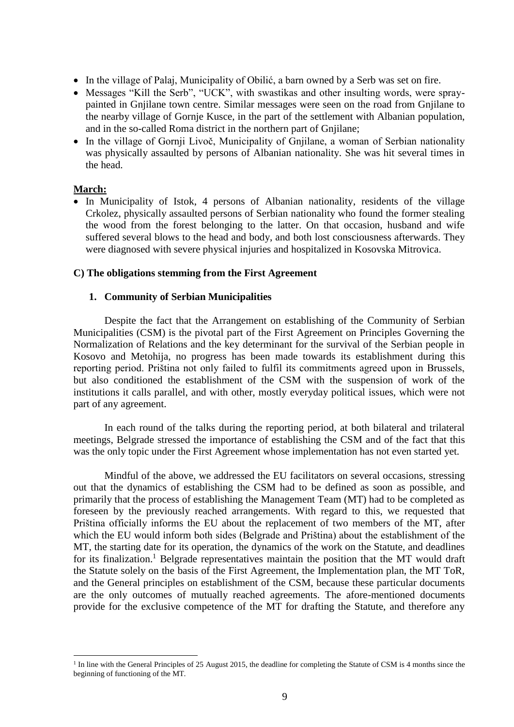- In the village of Palaj, Municipality of Obilić, a barn owned by a Serb was set on fire.
- Messages "Kill the Serb", "UCK", with swastikas and other insulting words, were spraypainted in Gnjilane town centre. Similar messages were seen on the road from Gnjilane to the nearby village of Gornje Kusce, in the part of the settlement with Albanian population, and in the so-called Roma district in the northern part of Gnjilane;
- In the village of Gornji Livoč, Municipality of Gnjilane, a woman of Serbian nationality was physically assaulted by persons of Albanian nationality. She was hit several times in the head.

#### **March:**

1

 In Municipality of Istok, 4 persons of Albanian nationality, residents of the village Crkolez, physically assaulted persons of Serbian nationality who found the former stealing the wood from the forest belonging to the latter. On that occasion, husband and wife suffered several blows to the head and body, and both lost consciousness afterwards. They were diagnosed with severe physical injuries and hospitalized in Kosovska Mitrovica.

#### **C) The obligations stemming from the First Agreement**

#### **1. Community of Serbian Municipalities**

Despite the fact that the Arrangement on establishing of the Community of Serbian Municipalities (CSM) is the pivotal part of the First Agreement on Principles Governing the Normalization of Relations and the key determinant for the survival of the Serbian people in Kosovo and Metohija, no progress has been made towards its establishment during this reporting period. Priština not only failed to fulfil its commitments agreed upon in Brussels, but also conditioned the establishment of the CSM with the suspension of work of the institutions it calls parallel, and with other, mostly everyday political issues, which were not part of any agreement.

In each round of the talks during the reporting period, at both bilateral and trilateral meetings, Belgrade stressed the importance of establishing the CSM and of the fact that this was the only topic under the First Agreement whose implementation has not even started yet.

Mindful of the above, we addressed the EU facilitators on several occasions, stressing out that the dynamics of establishing the CSM had to be defined as soon as possible, and primarily that the process of establishing the Management Team (MT) had to be completed as foreseen by the previously reached arrangements. With regard to this, we requested that Priština officially informs the EU about the replacement of two members of the MT, after which the EU would inform both sides (Belgrade and Priština) about the establishment of the MT, the starting date for its operation, the dynamics of the work on the Statute, and deadlines for its finalization.<sup>1</sup> Belgrade representatives maintain the position that the MT would draft the Statute solely on the basis of the First Agreement, the Implementation plan, the MT ToR, and the General principles on establishment of the CSM, because these particular documents are the only outcomes of mutually reached agreements. The afore-mentioned documents provide for the exclusive competence of the MT for drafting the Statute, and therefore any

<sup>&</sup>lt;sup>1</sup> In line with the General Principles of 25 August 2015, the deadline for completing the Statute of CSM is 4 months since the beginning of functioning of the MT.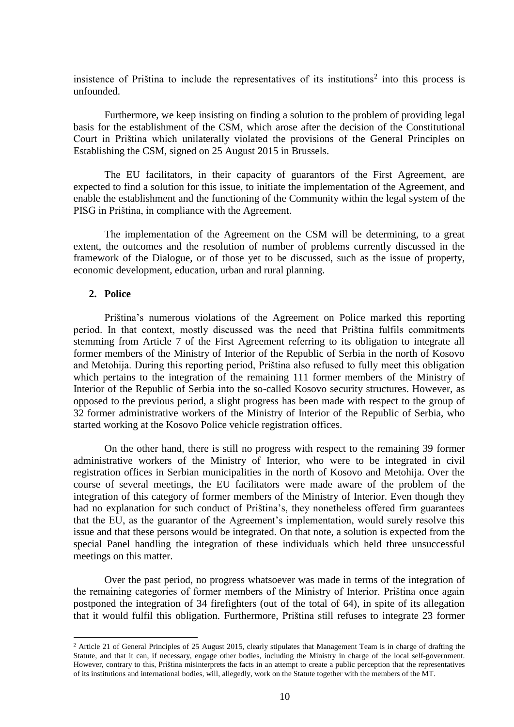insistence of Priština to include the representatives of its institutions<sup>2</sup> into this process is unfounded.

Furthermore, we keep insisting on finding a solution to the problem of providing legal basis for the establishment of the CSM, which arose after the decision of the Constitutional Court in Priština which unilaterally violated the provisions of the General Principles on Establishing the CSM, signed on 25 August 2015 in Brussels.

The EU facilitators, in their capacity of guarantors of the First Agreement, are expected to find a solution for this issue, to initiate the implementation of the Agreement, and enable the establishment and the functioning of the Community within the legal system of the PISG in Priština, in compliance with the Agreement.

The implementation of the Agreement on the CSM will be determining, to a great extent, the outcomes and the resolution of number of problems currently discussed in the framework of the Dialogue, or of those yet to be discussed, such as the issue of property, economic development, education, urban and rural planning.

#### <span id="page-9-0"></span>**2. Police**

**.** 

Priština's numerous violations of the Agreement on Police marked this reporting period. In that context, mostly discussed was the need that Priština fulfils commitments stemming from Article 7 of the First Agreement referring to its obligation to integrate all former members of the Ministry of Interior of the Republic of Serbia in the north of Kosovo and Metohija. During this reporting period, Priština also refused to fully meet this obligation which pertains to the integration of the remaining 111 former members of the Ministry of Interior of the Republic of Serbia into the so-called Kosovo security structures. However, as opposed to the previous period, a slight progress has been made with respect to the group of 32 former administrative workers of the Ministry of Interior of the Republic of Serbia, who started working at the Kosovo Police vehicle registration offices.

On the other hand, there is still no progress with respect to the remaining 39 former administrative workers of the Ministry of Interior, who were to be integrated in civil registration offices in Serbian municipalities in the north of Kosovo and Metohija. Over the course of several meetings, the EU facilitators were made aware of the problem of the integration of this category of former members of the Ministry of Interior. Even though they had no explanation for such conduct of Priština's, they nonetheless offered firm guarantees that the EU, as the guarantor of the Agreement's implementation, would surely resolve this issue and that these persons would be integrated. On that note, a solution is expected from the special Panel handling the integration of these individuals which held three unsuccessful meetings on this matter.

Over the past period, no progress whatsoever was made in terms of the integration of the remaining categories of former members of the Ministry of Interior. Priština once again postponed the integration of 34 firefighters (out of the total of 64), in spite of its allegation that it would fulfil this obligation. Furthermore, Priština still refuses to integrate 23 former

<sup>&</sup>lt;sup>2</sup> Article 21 of General Principles of 25 August 2015, clearly stipulates that Management Team is in charge of drafting the Statute, and that it can, if necessary, engage other bodies, including the Ministry in charge of the local self-government. However, contrary to this, Priština misinterprets the facts in an attempt to create a public perception that the representatives of its institutions and international bodies, will, allegedly, work on the Statute together with the members of the MT.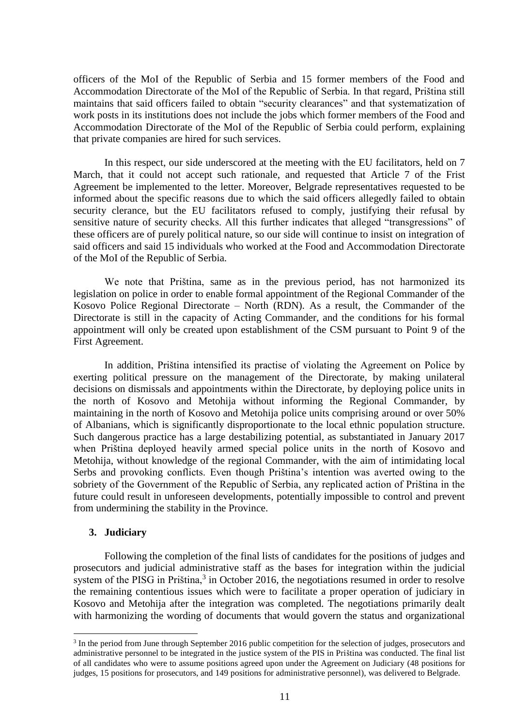officers of the MoI of the Republic of Serbia and 15 former members of the Food and Accommodation Directorate of the MoI of the Republic of Serbia. In that regard, Priština still maintains that said officers failed to obtain "security clearances" and that systematization of work posts in its institutions does not include the jobs which former members of the Food and Accommodation Directorate of the MoI of the Republic of Serbia could perform, explaining that private companies are hired for such services.

In this respect, our side underscored at the meeting with the EU facilitators, held on 7 March, that it could not accept such rationale, and requested that Article 7 of the Frist Agreement be implemented to the letter. Moreover, Belgrade representatives requested to be informed about the specific reasons due to which the said officers allegedly failed to obtain security clerance, but the EU facilitators refused to comply, justifying their refusal by sensitive nature of security checks. All this further indicates that alleged "transgressions" of these officers are of purely political nature, so our side will continue to insist on integration of said officers and said 15 individuals who worked at the Food and Accommodation Directorate of the MoI of the Republic of Serbia.

We note that Priština, same as in the previous period, has not harmonized its legislation on police in order to enable formal appointment of the Regional Commander of the Kosovo Police Regional Directorate – North (RDN). As a result, the Commander of the Directorate is still in the capacity of Acting Commander, and the conditions for his formal appointment will only be created upon establishment of the CSM pursuant to Point 9 of the First Agreement.

In addition, Priština intensified its practise of violating the Agreement on Police by exerting political pressure on the management of the Directorate, by making unilateral decisions on dismissals and appointments within the Directorate, by deploying police units in the north of Kosovo and Metohija without informing the Regional Commander, by maintaining in the north of Kosovo and Metohija police units comprising around or over 50% of Albanians, which is significantly disproportionate to the local ethnic population structure. Such dangerous practice has a large destabilizing potential, as substantiated in January 2017 when Priština deployed heavily armed special police units in the north of Kosovo and Metohija, without knowledge of the regional Commander, with the aim of intimidating local Serbs and provoking conflicts. Even though Priština's intention was averted owing to the sobriety of the Government of the Republic of Serbia, any replicated action of Priština in the future could result in unforeseen developments, potentially impossible to control and prevent from undermining the stability in the Province.

#### <span id="page-10-0"></span>**3. Judiciary**

**.** 

Following the completion of the final lists of candidates for the positions of judges and prosecutors and judicial administrative staff as the bases for integration within the judicial system of the PISG in Priština, $3$  in October 2016, the negotiations resumed in order to resolve the remaining contentious issues which were to facilitate a proper operation of judiciary in Kosovo and Metohija after the integration was completed. The negotiations primarily dealt with harmonizing the wording of documents that would govern the status and organizational

<sup>&</sup>lt;sup>3</sup> In the period from June through September 2016 public competition for the selection of judges, prosecutors and administrative personnel to be integrated in the justice system of the PIS in Priština was conducted. The final list of all candidates who were to assume positions agreed upon under the Agreement on Judiciary (48 positions for judges, 15 positions for prosecutors, and 149 positions for administrative personnel), was delivered to Belgrade.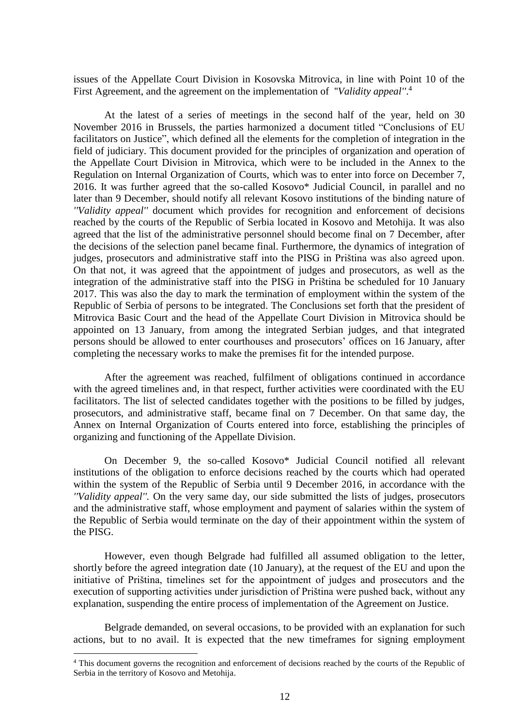issues of the Appellate Court Division in Kosovska Mitrovica, in line with Point 10 of the First Agreement, and the agreement on the implementation of ''*Validity appeal''*. 4

At the latest of a series of meetings in the second half of the year, held on 30 November 2016 in Brussels, the parties harmonized a document titled "Conclusions of EU facilitators on Justice", which defined all the elements for the completion of integration in the field of judiciary. This document provided for the principles of organization and operation of the Appellate Court Division in Mitrovica, which were to be included in the Annex to the Regulation on Internal Organization of Courts, which was to enter into force on December 7, 2016. It was further agreed that the so-called Kosovo\* Judicial Council, in parallel and no later than 9 December, should notify all relevant Kosovo institutions of the binding nature of *''Validity appeal''* document which provides for recognition and enforcement of decisions reached by the courts of the Republic of Serbia located in Kosovo and Metohija. It was also agreed that the list of the administrative personnel should become final on 7 December, after the decisions of the selection panel became final. Furthermore, the dynamics of integration of judges, prosecutors and administrative staff into the PISG in Priština was also agreed upon. On that not, it was agreed that the appointment of judges and prosecutors, as well as the integration of the administrative staff into the PISG in Priština be scheduled for 10 January 2017. This was also the day to mark the termination of employment within the system of the Republic of Serbia of persons to be integrated. The Conclusions set forth that the president of Mitrovica Basic Court and the head of the Appellate Court Division in Mitrovica should be appointed on 13 January, from among the integrated Serbian judges, and that integrated persons should be allowed to enter courthouses and prosecutors' offices on 16 January, after completing the necessary works to make the premises fit for the intended purpose.

After the agreement was reached, fulfilment of obligations continued in accordance with the agreed timelines and, in that respect, further activities were coordinated with the EU facilitators. The list of selected candidates together with the positions to be filled by judges, prosecutors, and administrative staff, became final on 7 December. On that same day, the Annex on Internal Organization of Courts entered into force, establishing the principles of organizing and functioning of the Appellate Division.

On December 9, the so-called Kosovo\* Judicial Council notified all relevant institutions of the obligation to enforce decisions reached by the courts which had operated within the system of the Republic of Serbia until 9 December 2016, in accordance with the *''Validity appeal''.* On the very same day, our side submitted the lists of judges, prosecutors and the administrative staff, whose employment and payment of salaries within the system of the Republic of Serbia would terminate on the day of their appointment within the system of the PISG.

However, even though Belgrade had fulfilled all assumed obligation to the letter, shortly before the agreed integration date (10 January), at the request of the EU and upon the initiative of Priština, timelines set for the appointment of judges and prosecutors and the execution of supporting activities under jurisdiction of Priština were pushed back, without any explanation, suspending the entire process of implementation of the Agreement on Justice.

Belgrade demanded, on several occasions, to be provided with an explanation for such actions, but to no avail. It is expected that the new timeframes for signing employment

1

<sup>&</sup>lt;sup>4</sup> This document governs the recognition and enforcement of decisions reached by the courts of the Republic of Serbia in the territory of Kosovo and Metohija.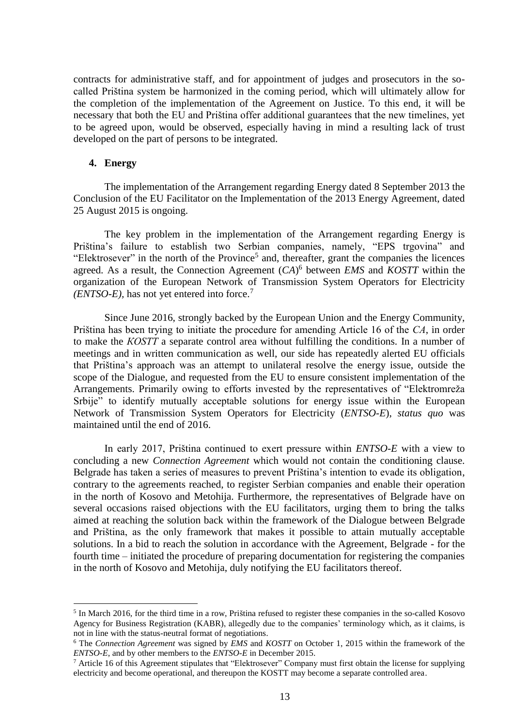contracts for administrative staff, and for appointment of judges and prosecutors in the socalled Priština system be harmonized in the coming period, which will ultimately allow for the completion of the implementation of the Agreement on Justice. To this end, it will be necessary that both the EU and Priština offer additional guarantees that the new timelines, yet to be agreed upon, would be observed, especially having in mind a resulting lack of trust developed on the part of persons to be integrated.

#### <span id="page-12-0"></span>**4. Energy**

-

The implementation of the Arrangement regarding Energy dated 8 September 2013 the Conclusion of the EU Facilitator on the Implementation of the 2013 Energy Agreement, dated 25 August 2015 is ongoing.

The key problem in the implementation of the Arrangement regarding Energy is Priština's failure to establish two Serbian companies, namely, "EPS trgovina" and "Elektrosever" in the north of the Province<sup>5</sup> and, thereafter, grant the companies the licences agreed. As a result, the Connection Agreement (*CA*) 6 between *EMS* and *KOSTT* within the organization of the European Network of Transmission System Operators for Electricity *(ENTSO-E),* has not yet entered into force.<sup>7</sup>

Since June 2016, strongly backed by the European Union and the Energy Community, Priština has been trying to initiate the procedure for amending Article 16 of the *СА*, in order to make the *КОSТТ* a separate control area without fulfilling the conditions*.* In a number of meetings and in written communication as well, our side has repeatedly alerted EU officials that Priština's approach was an attempt to unilateral resolve the energy issue, outside the scope of the Dialogue, and requested from the EU to ensure consistent implementation of the Arrangements. Primarily owing to efforts invested by the representatives of "Elektromreža Srbije" to identify mutually acceptable solutions for energy issue within the European Network of Transmission System Operators for Electricity (*ENTSO-E*), *status quo* was maintained until the end of 2016.

In early 2017, Priština continued to exert pressure within *ENTSO-E* with a view to concluding a new *Connection Agreement* which would not contain the conditioning clause. Belgrade has taken a series of measures to prevent Priština's intention to evade its obligation, contrary to the agreements reached, to register Serbian companies and enable their operation in the north of Kosovo and Metohija. Furthermore, the representatives of Belgrade have on several occasions raised objections with the EU facilitators, urging them to bring the talks aimed at reaching the solution back within the framework of the Dialogue between Belgrade and Priština, as the only framework that makes it possible to attain mutually acceptable solutions. In a bid to reach the solution in accordance with the Agreement, Belgrade - for the fourth time – initiated the procedure of preparing documentation for registering the companies in the north of Kosovo and Metohija, duly notifying the EU facilitators thereof.

<sup>&</sup>lt;sup>5</sup> In March 2016, for the third time in a row, Priština refused to register these companies in the so-called Kosovo Agency for Business Registration (KABR), allegedly due to the companies' terminology which, as it claims, is not in line with the status-neutral format of negotiations.

<sup>6</sup> The *Connection Agreement* was signed by *EMS* and *KOSTT* on October 1, 2015 within the framework of the *ENTSO-E*, and by other members to the *ENTSO-E* in December 2015.

<sup>7</sup> Article 16 of this Agreement stipulates that "Elektrosever" Company must first obtain the license for supplying electricity and become operational, and thereupon the KOSTT may become a separate controlled area.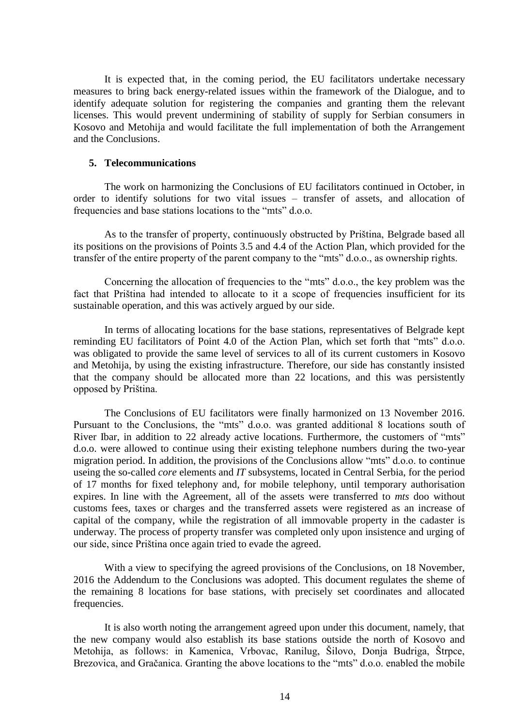It is expected that, in the coming period, the EU facilitators undertake necessary measures to bring back energy-related issues within the framework of the Dialogue, and to identify adequate solution for registering the companies and granting them the relevant licenses. This would prevent undermining of stability of supply for Serbian consumers in Kosovo and Metohija and would facilitate the full implementation of both the Arrangement and the Conclusions.

#### <span id="page-13-0"></span>**5. Telecommunications**

The work on harmonizing the Conclusions of EU facilitators continued in October, in order to identify solutions for two vital issues – transfer of assets, and allocation of frequencies and base stations locations to the "mts" d.o.o.

As to the transfer of property, continuously obstructed by Priština, Belgrade based all its positions on the provisions of Points 3.5 and 4.4 of the Action Plan, which provided for the transfer of the entire property of the parent company to the "mts" d.o.o., as ownership rights.

Concerning the allocation of frequencies to the "mts" d.o.o., the key problem was the fact that Priština had intended to allocate to it a scope of frequencies insufficient for its sustainable operation, and this was actively argued by our side.

In terms of allocating locations for the base stations, representatives of Belgrade kept reminding EU facilitators of Point 4.0 of the Action Plan, which set forth that "mts" d.o.o. was obligated to provide the same level of services to all of its current customers in Kosovo and Metohija, by using the existing infrastructure. Therefore, our side has constantly insisted that the company should be allocated more than 22 locations, and this was persistently opposed by Priština.

The Conclusions of EU facilitators were finally harmonized on 13 November 2016. Pursuant to the Conclusions, the "mts" d.o.o. was granted additional 8 locations south of River Ibar, in addition to 22 already active locations. Furthermore, the customers of "mts" d.o.o. were allowed to continue using their existing telephone numbers during the two-year migration period. In addition, the provisions of the Conclusions allow "mts" d.o.o. to continue useing the so-called *core* elements and *IT* subsystems, located in Central Serbia, for the period of 17 months for fixed telephony and, for mobile telephony, until temporary authorisation expires. In line with the Agreement, all of the assets were transferred to *mts* doo without customs fees, taxes or charges and the transferred assets were registered as an increase of capital of the company, while the registration of all immovable property in the cadaster is underway. The process of property transfer was completed only upon insistence and urging of our side, since Priština once again tried to evade the agreed.

With a view to specifying the agreed provisions of the Conclusions, on 18 November, 2016 the Addendum to the Conclusions was adopted. This document regulates the sheme of the remaining 8 locations for base stations, with precisely set coordinates and allocated frequencies.

It is also worth noting the arrangement agreed upon under this document, namely, that the new company would also establish its base stations outside the north of Kosovo and Metohija, as follows: in Kamenica, Vrbovac, Ranilug, Šilovo, Donja Budriga, Štrpce, Brezovica, and Gračanica. Granting the above locations to the "mts" d.o.o. enabled the mobile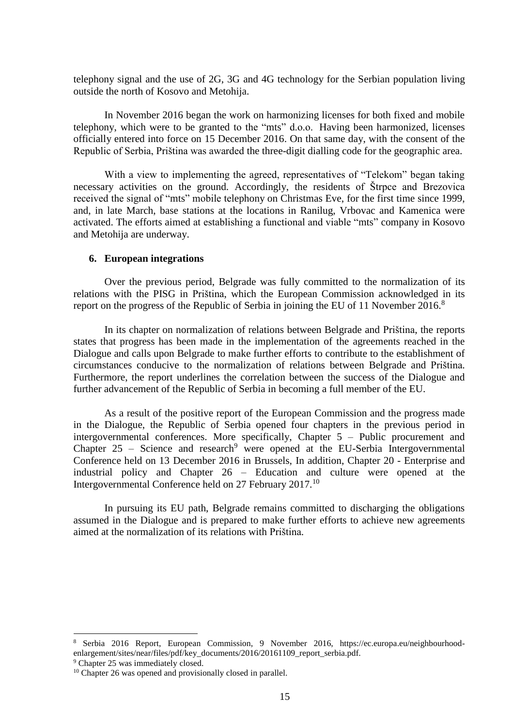telephony signal and the use of 2G, 3G and 4G technology for the Serbian population living outside the north of Kosovo and Metohija.

In November 2016 began the work on harmonizing licenses for both fixed and mobile telephony, which were to be granted to the "mts" d.o.o. Having been harmonized, licenses officially entered into force on 15 December 2016. On that same day, with the consent of the Republic of Serbia, Priština was awarded the three-digit dialling code for the geographic area.

With a view to implementing the agreed, representatives of "Telekom" began taking necessary activities on the ground. Accordingly, the residents of Štrpce and Brezovica received the signal of "mts" mobile telephony on Christmas Eve, for the first time since 1999, and, in late March, base stations at the locations in Ranilug, Vrbovac and Kamenica were activated. The efforts aimed at establishing a functional and viable "mts" company in Kosovo and Metohija are underway.

#### <span id="page-14-0"></span>**6. European integrations**

Over the previous period, Belgrade was fully committed to the normalization of its relations with the PISG in Priština, which the European Commission acknowledged in its report on the progress of the Republic of Serbia in joining the EU of 11 November 2016.<sup>8</sup>

In its chapter on normalization of relations between Belgrade and Priština, the reports states that progress has been made in the implementation of the agreements reached in the Dialogue and calls upon Belgrade to make further efforts to contribute to the establishment of circumstances conducive to the normalization of relations between Belgrade and Priština. Furthermore, the report underlines the correlation between the success of the Dialogue and further advancement of the Republic of Serbia in becoming a full member of the EU.

As a result of the positive report of the European Commission and the progress made in the Dialogue, the Republic of Serbia opened four chapters in the previous period in intergovernmental conferences. More specifically, Chapter 5 – Public procurement and Chapter  $25$  – Science and research<sup>9</sup> were opened at the EU-Serbia Intergovernmental Conference held on 13 December 2016 in Brussels, In addition, Chapter 20 - Enterprise and industrial policy and Chapter 26 – Education and culture were opened at the Intergovernmental Conference held on 27 February 2017.<sup>10</sup>

In pursuing its EU path, Belgrade remains committed to discharging the obligations assumed in the Dialogue and is prepared to make further efforts to achieve new agreements aimed at the normalization of its relations with Priština.

**.** 

<sup>8</sup> Serbia 2016 Report, European Commission, 9 November 2016, https://ec.europa.eu/neighbourhoodenlargement/sites/near/files/pdf/key\_documents/2016/20161109\_report\_serbia.pdf.

<sup>&</sup>lt;sup>9</sup> Chapter 25 was immediately closed.

<sup>&</sup>lt;sup>10</sup> Chapter 26 was opened and provisionally closed in parallel.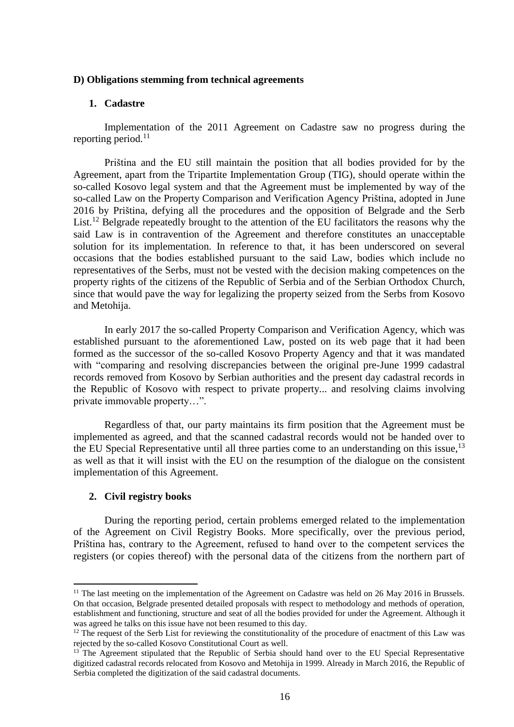#### **D) Obligations stemming from technical agreements**

#### <span id="page-15-0"></span>**1. Cadastre**

Implementation of the 2011 Agreement on Cadastre saw no progress during the reporting period.<sup>11</sup>

Priština and the EU still maintain the position that all bodies provided for by the Agreement, apart from the Tripartite Implementation Group (TIG), should operate within the so-called Kosovo legal system and that the Agreement must be implemented by way of the so-called Law on the Property Comparison and Verification Agency Priština, adopted in June 2016 by Priština, defying all the procedures and the opposition of Belgrade and the Serb List.<sup>12</sup> Belgrade repeatedly brought to the attention of the EU facilitators the reasons why the said Law is in contravention of the Agreement and therefore constitutes an unacceptable solution for its implementation. In reference to that, it has been underscored on several occasions that the bodies established pursuant to the said Law, bodies which include no representatives of the Serbs, must not be vested with the decision making competences on the property rights of the citizens of the Republic of Serbia and of the Serbian Orthodox Church, since that would pave the way for legalizing the property seized from the Serbs from Kosovo and Metohija.

In early 2017 the so-called Property Comparison and Verification Agency, which was established pursuant to the aforementioned Law, posted on its web page that it had been formed as the successor of the so-called Kosovo Property Agency and that it was mandated with "comparing and resolving discrepancies between the original pre-June 1999 cadastral records removed from Kosovo by Serbian authorities and the present day cadastral records in the Republic of Kosovo with respect to private property... and resolving claims involving private immovable property…".

Regardless of that, our party maintains its firm position that the Agreement must be implemented as agreed, and that the scanned cadastral records would not be handed over to the EU Special Representative until all three parties come to an understanding on this issue,<sup>13</sup> as well as that it will insist with the EU on the resumption of the dialogue on the consistent implementation of this Agreement.

#### <span id="page-15-1"></span>**2. Civil registry books**

-

During the reporting period, certain problems emerged related to the implementation of the Agreement on Civil Registry Books. More specifically, over the previous period, Priština has, contrary to the Agreement, refused to hand over to the competent services the registers (or copies thereof) with the personal data of the citizens from the northern part of

<sup>&</sup>lt;sup>11</sup> The last meeting on the implementation of the Agreement on Cadastre was held on 26 May 2016 in Brussels. On that occasion, Belgrade presented detailed proposals with respect to methodology and methods of operation, establishment and functioning, structure and seat of all the bodies provided for under the Agreement. Although it was agreed he talks on this issue have not been resumed to this day.

<sup>&</sup>lt;sup>12</sup> The request of the Serb List for reviewing the constitutionality of the procedure of enactment of this Law was rejected by the so-called Kosovo Constitutional Court as well.

<sup>&</sup>lt;sup>13</sup> The Agreement stipulated that the Republic of Serbia should hand over to the EU Special Representative digitized cadastral records relocated from Kosovo and Metohija in 1999. Already in March 2016, the Republic of Serbia completed the digitization of the said cadastral documents.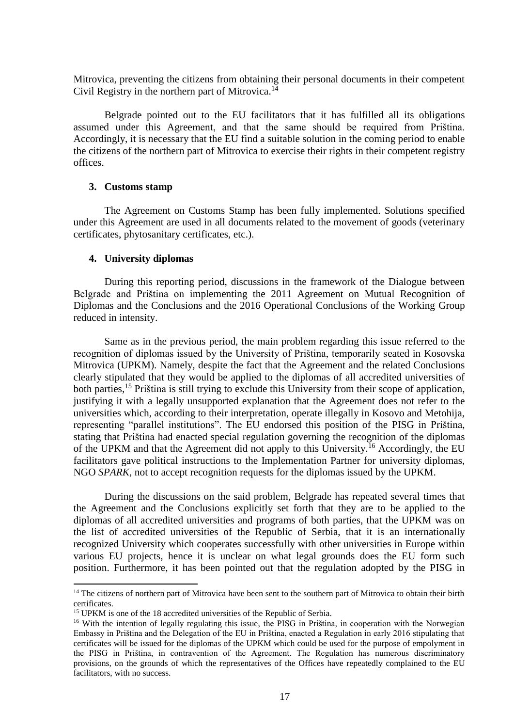Mitrovica, preventing the citizens from obtaining their personal documents in their competent Civil Registry in the northern part of Mitrovica.<sup>14</sup>

Belgrade pointed out to the EU facilitators that it has fulfilled all its obligations assumed under this Agreement, and that the same should be required from Priština. Accordingly, it is necessary that the EU find a suitable solution in the coming period to enable the citizens of the northern part of Mitrovica to exercise their rights in their competent registry offices.

#### <span id="page-16-0"></span>**3. Customs stamp**

The Agreement on Customs Stamp has been fully implemented. Solutions specified under this Agreement are used in all documents related to the movement of goods (veterinary certificates, phytosanitary certificates, etc.).

#### <span id="page-16-1"></span>**4. University diplomas**

-

During this reporting period, discussions in the framework of the Dialogue between Belgrade and Priština on implementing the 2011 Agreement on Mutual Recognition of Diplomas and the Conclusions and the 2016 Operational Conclusions of the Working Group reduced in intensity.

Same as in the previous period, the main problem regarding this issue referred to the recognition of diplomas issued by the University of Priština, temporarily seated in Kosovska Mitrovica (UPKM). Namely, despite the fact that the Agreement and the related Conclusions clearly stipulated that they would be applied to the diplomas of all accredited universities of both parties,<sup>15</sup> Priština is still trying to exclude this University from their scope of application, justifying it with a legally unsupported explanation that the Agreement does not refer to the universities which, according to their interpretation, operate illegally in Kosovo and Metohija, representing "parallel institutions". The EU endorsed this position of the PISG in Priština, stating that Priština had enacted special regulation governing the recognition of the diplomas of the UPKM and that the Agreement did not apply to this University.<sup>16</sup> Accordingly, the EU facilitators gave political instructions to the Implementation Partner for university diplomas, NGO *SPARK*, not to accept recognition requests for the diplomas issued by the UPKM.

During the discussions on the said problem, Belgrade has repeated several times that the Agreement and the Conclusions explicitly set forth that they are to be applied to the diplomas of all accredited universities and programs of both parties, that the UPKM was on the list of accredited universities of the Republic of Serbia, that it is an internationally recognized University which cooperates successfully with other universities in Europe within various EU projects, hence it is unclear on what legal grounds does the EU form such position. Furthermore, it has been pointed out that the regulation adopted by the PISG in

<sup>&</sup>lt;sup>14</sup> The citizens of northern part of Mitrovica have been sent to the southern part of Mitrovica to obtain their birth certificates.

<sup>&</sup>lt;sup>15</sup> UPKM is one of the 18 accredited universities of the Republic of Serbia.

<sup>&</sup>lt;sup>16</sup> With the intention of legally regulating this issue, the PISG in Priština, in cooperation with the Norwegian Embassy in Priština and the Delegation of the EU in Priština, enacted a Regulation in early 2016 stipulating that certificates will be issued for the diplomas of the UPKM which could be used for the purpose of empolyment in the PISG in Priština, in contravention of the Agreement. The Regulation has numerous discriminatory provisions, on the grounds of which the representatives of the Offices have repeatedly complained to the EU facilitators, with no success.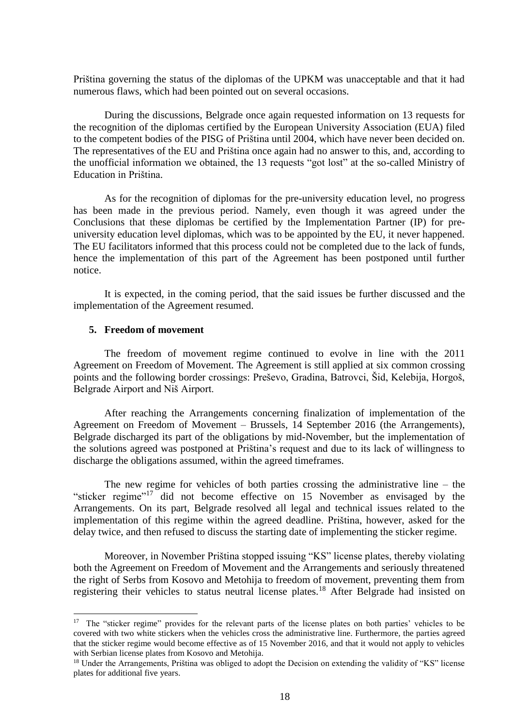Priština governing the status of the diplomas of the UPKM was unacceptable and that it had numerous flaws, which had been pointed out on several occasions.

During the discussions, Belgrade once again requested information on 13 requests for the recognition of the diplomas certified by the European University Association (EUA) filed to the competent bodies of the PISG of Priština until 2004, which have never been decided on. The representatives of the EU and Priština once again had no answer to this, and, according to the unofficial information we obtained, the 13 requests "got lost" at the so-called Ministry of Education in Priština.

As for the recognition of diplomas for the pre-university education level, no progress has been made in the previous period. Namely, even though it was agreed under the Conclusions that these diplomas be certified by the Implementation Partner (IP) for preuniversity education level diplomas, which was to be appointed by the EU, it never happened. The EU facilitators informed that this process could not be completed due to the lack of funds, hence the implementation of this part of the Agreement has been postponed until further notice.

It is expected, in the coming period, that the said issues be further discussed and the implementation of the Agreement resumed.

#### <span id="page-17-0"></span>**5. Freedom of movement**

1

The freedom of movement regime continued to evolve in line with the 2011 Agreement on Freedom of Movement. The Agreement is still applied at six common crossing points and the following border crossings: Preševo, Gradina, Batrovci, Šid, Kelebija, Horgoš, Belgrade Airport and Niš Airport.

After reaching the Arrangements concerning finalization of implementation of the Agreement on Freedom of Movement – Brussels, 14 September 2016 (the Arrangements), Belgrade discharged its part of the obligations by mid-November, but the implementation of the solutions agreed was postponed at Priština's request and due to its lack of willingness to discharge the obligations assumed, within the agreed timeframes.

The new regime for vehicles of both parties crossing the administrative line – the "sticker regime"<sup>17</sup> did not become effective on 15 November as envisaged by the Arrangements. On its part, Belgrade resolved all legal and technical issues related to the implementation of this regime within the agreed deadline. Priština, however, asked for the delay twice, and then refused to discuss the starting date of implementing the sticker regime.

Moreover, in November Priština stopped issuing "KS" license plates, thereby violating both the Agreement on Freedom of Movement and the Arrangements and seriously threatened the right of Serbs from Kosovo and Metohija to freedom of movement, preventing them from registering their vehicles to status neutral license plates.<sup>18</sup> After Belgrade had insisted on

<sup>&</sup>lt;sup>17</sup> The "sticker regime" provides for the relevant parts of the license plates on both parties' vehicles to be covered with two white stickers when the vehicles cross the administrative line. Furthermore, the parties agreed that the sticker regime would become effective as of 15 November 2016, and that it would not apply to vehicles with Serbian license plates from Kosovo and Metohija.

<sup>&</sup>lt;sup>18</sup> Under the Arrangements, Priština was obliged to adopt the Decision on extending the validity of "KS" license plates for additional five years.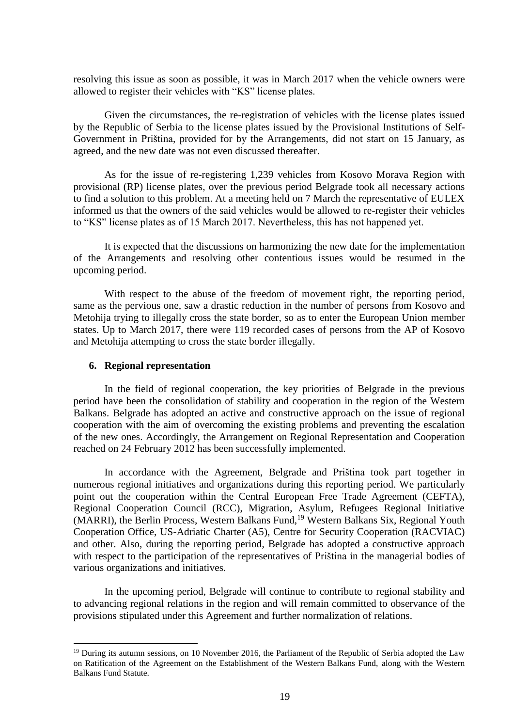resolving this issue as soon as possible, it was in March 2017 when the vehicle owners were allowed to register their vehicles with "KS" license plates.

Given the circumstances, the re-registration of vehicles with the license plates issued by the Republic of Serbia to the license plates issued by the Provisional Institutions of Self-Government in Priština, provided for by the Arrangements, did not start on 15 January, as agreed, and the new date was not even discussed thereafter.

As for the issue of re-registering 1,239 vehicles from Kosovo Morava Region with provisional (RP) license plates, over the previous period Belgrade took all necessary actions to find a solution to this problem. At a meeting held on 7 March the representative of EULEX informed us that the owners of the said vehicles would be allowed to re-register their vehicles to "KS" license plates as of 15 March 2017. Nevertheless, this has not happened yet.

It is expected that the discussions on harmonizing the new date for the implementation of the Arrangements and resolving other contentious issues would be resumed in the upcoming period.

With respect to the abuse of the freedom of movement right, the reporting period, same as the pervious one, saw a drastic reduction in the number of persons from Kosovo and Metohija trying to illegally cross the state border, so as to enter the European Union member states. Up to March 2017, there were 119 recorded cases of persons from the AP of Kosovo and Metohija attempting to cross the state border illegally.

#### <span id="page-18-0"></span>**6. Regional representation**

1

In the field of regional cooperation, the key priorities of Belgrade in the previous period have been the consolidation of stability and cooperation in the region of the Western Balkans. Belgrade has adopted an active and constructive approach on the issue of regional cooperation with the aim of overcoming the existing problems and preventing the escalation of the new ones. Accordingly, the Arrangement on Regional Representation and Cooperation reached on 24 February 2012 has been successfully implemented.

In accordance with the Agreement, Belgrade and Priština took part together in numerous regional initiatives and organizations during this reporting period. We particularly point out the cooperation within the Central European Free Trade Agreement (CEFTA), Regional Cooperation Council (RCC), Migration, Asylum, Refugees Regional Initiative (MARRI), the Berlin Process, Western Balkans Fund,<sup>19</sup> Western Balkans Six, Regional Youth Cooperation Office, US-Adriatic Charter (A5), Centre for Security Cooperation (RACVIAC) and other. Also, during the reporting period, Belgrade has adopted a constructive approach with respect to the participation of the representatives of Priština in the managerial bodies of various organizations and initiatives.

In the upcoming period, Belgrade will continue to contribute to regional stability and to advancing regional relations in the region and will remain committed to observance of the provisions stipulated under this Agreement and further normalization of relations.

<sup>&</sup>lt;sup>19</sup> During its autumn sessions, on 10 November 2016, the Parliament of the Republic of Serbia adopted the Law on Ratification of the Agreement on the Establishment of the Western Balkans Fund, along with the Western Balkans Fund Statute.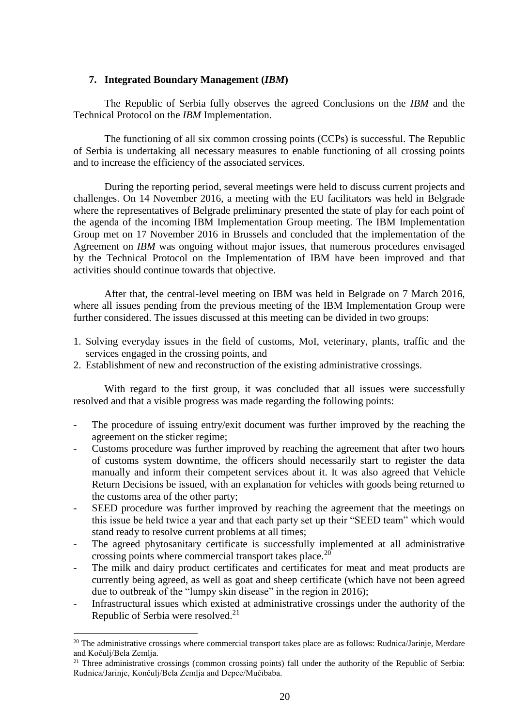#### <span id="page-19-0"></span>**7. Integrated Boundary Management (***IBM***)**

The Republic of Serbia fully observes the agreed Conclusions on the *IBM* and the Technical Protocol on the *IBM* Implementation.

The functioning of all six common crossing points (CCPs) is successful. The Republic of Serbia is undertaking all necessary measures to enable functioning of all crossing points and to increase the efficiency of the associated services.

During the reporting period, several meetings were held to discuss current projects and challenges. On 14 November 2016, a meeting with the EU facilitators was held in Belgrade where the representatives of Belgrade preliminary presented the state of play for each point of the agenda of the incoming IBM Implementation Group meeting. The IBM Implementation Group met on 17 November 2016 in Brussels and concluded that the implementation of the Agreement on *IBM* was ongoing without major issues, that numerous procedures envisaged by the Technical Protocol on the Implementation of IBM have been improved and that activities should continue towards that objective.

After that, the central-level meeting on IBM was held in Belgrade on 7 March 2016, where all issues pending from the previous meeting of the IBM Implementation Group were further considered. The issues discussed at this meeting can be divided in two groups:

- 1. Solving everyday issues in the field of customs, MoI, veterinary, plants, traffic and the services engaged in the crossing points, and
- 2. Establishment of new and reconstruction of the existing administrative crossings.

With regard to the first group, it was concluded that all issues were successfully resolved and that a visible progress was made regarding the following points:

- The procedure of issuing entry/exit document was further improved by the reaching the agreement on the sticker regime;
- Customs procedure was further improved by reaching the agreement that after two hours of customs system downtime, the officers should necessarily start to register the data manually and inform their competent services about it. It was also agreed that Vehicle Return Decisions be issued, with an explanation for vehicles with goods being returned to the customs area of the other party;
- SEED procedure was further improved by reaching the agreement that the meetings on this issue be held twice a year and that each party set up their "SEED team" which would stand ready to resolve current problems at all times;
- The agreed phytosanitary certificate is successfully implemented at all administrative crossing points where commercial transport takes place.<sup>20</sup>
- The milk and dairy product certificates and certificates for meat and meat products are currently being agreed, as well as goat and sheep certificate (which have not been agreed due to outbreak of the "lumpy skin disease" in the region in 2016);
- Infrastructural issues which existed at administrative crossings under the authority of the Republic of Serbia were resolved.<sup>21</sup>

**.** 

<sup>&</sup>lt;sup>20</sup> The administrative crossings where commercial transport takes place are as follows: Rudnica/Jarinje, Merdare and Kočulj/Bela Zemlja.

<sup>&</sup>lt;sup>21</sup> Three administrative crossings (common crossing points) fall under the authority of the Republic of Serbia: Rudnica/Jarinje, Končulj/Bela Zemlja and Depce/Mučibaba.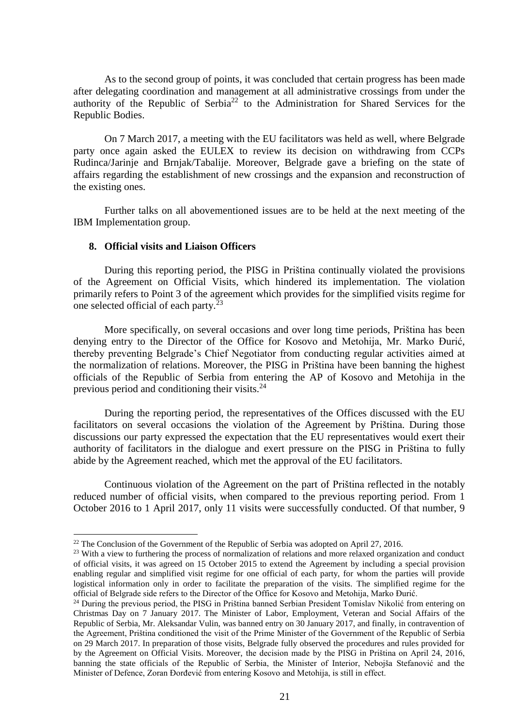As to the second group of points, it was concluded that certain progress has been made after delegating coordination and management at all administrative crossings from under the authority of the Republic of Serbia<sup>22</sup> to the Administration for Shared Services for the Republic Bodies.

On 7 March 2017, a meeting with the EU facilitators was held as well, where Belgrade party once again asked the EULEX to review its decision on withdrawing from CCPs Rudinca/Jarinje and Brnjak/Tabalije. Moreover, Belgrade gave a briefing on the state of affairs regarding the establishment of new crossings and the expansion and reconstruction of the existing ones.

Further talks on all abovementioned issues are to be held at the next meeting of the IBM Implementation group.

#### <span id="page-20-0"></span>**8. Official visits and Liaison Officers**

1

During this reporting period, the PISG in Priština continually violated the provisions of the Agreement on Official Visits, which hindered its implementation. The violation primarily refers to Point 3 of the agreement which provides for the simplified visits regime for one selected official of each party.<sup>23</sup>

More specifically, on several occasions and over long time periods, Priština has been denying entry to the Director of the Office for Kosovo and Metohija, Mr. Marko Đurić, thereby preventing Belgrade's Chief Negotiator from conducting regular activities aimed at the normalization of relations. Moreover, the PISG in Priština have been banning the highest officials of the Republic of Serbia from entering the AP of Kosovo and Metohija in the previous period and conditioning their visits. $24$ 

During the reporting period, the representatives of the Offices discussed with the EU facilitators on several occasions the violation of the Agreement by Priština. During those discussions our party expressed the expectation that the EU representatives would exert their authority of facilitators in the dialogue and exert pressure on the PISG in Priština to fully abide by the Agreement reached, which met the approval of the EU facilitators.

Continuous violation of the Agreement on the part of Priština reflected in the notably reduced number of official visits, when compared to the previous reporting period. From 1 October 2016 to 1 April 2017, only 11 visits were successfully conducted. Of that number, 9

 $22$  The Conclusion of the Government of the Republic of Serbia was adopted on April 27, 2016.

<sup>&</sup>lt;sup>23</sup> With a view to furthering the process of normalization of relations and more relaxed organization and conduct of official visits, it was agreed on 15 October 2015 to extend the Agreement by including a special provision enabling regular and simplified visit regime for one official of each party, for whom the parties will provide logistical information only in order to facilitate the preparation of the visits. The simplified regime for the official of Belgrade side refers to the Director of the Office for Kosovo and Metohija, Marko Đurić.

<sup>&</sup>lt;sup>24</sup> During the previous period, the PISG in Priština banned Serbian President Tomislav Nikolić from entering on Christmas Day on 7 January 2017. The Minister of Labor, Employment, Veteran and Social Affairs of the Republic of Serbia, Mr. Aleksandar Vulin, was banned entry on 30 January 2017, and finally, in contravention of the Agreement, Priština conditioned the visit of the Prime Minister of the Government of the Republic of Serbia on 29 March 2017. In preparation of those visits, Belgrade fully observed the procedures and rules provided for by the Agreement on Official Visits. Moreover, the decision made by the PISG in Priština on April 24, 2016, banning the state officials of the Republic of Serbia, the Minister of Interior, Nebojša Stefanović and the Minister of Defence, Zoran Đorđević from entering Kosovo and Metohija, is still in effect.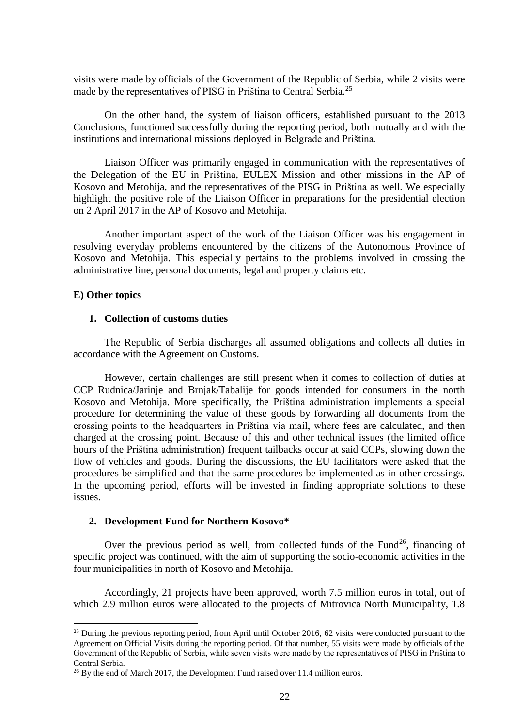visits were made by officials of the Government of the Republic of Serbia, while 2 visits were made by the representatives of PISG in Priština to Central Serbia.<sup>25</sup>

On the other hand, the system of liaison officers, established pursuant to the 2013 Conclusions, functioned successfully during the reporting period, both mutually and with the institutions and international missions deployed in Belgrade and Priština.

Liaison Officer was primarily engaged in communication with the representatives of the Delegation of the EU in Priština, EULEX Mission and other missions in the AP of Kosovo and Metohija, and the representatives of the PISG in Priština as well. We especially highlight the positive role of the Liaison Officer in preparations for the presidential election on 2 April 2017 in the AP of Kosovo and Metohija.

Another important aspect of the work of the Liaison Officer was his engagement in resolving everyday problems encountered by the citizens of the Autonomous Province of Kosovo and Metohija. This especially pertains to the problems involved in crossing the administrative line, personal documents, legal and property claims etc.

#### **E) Other topics**

**.** 

## <span id="page-21-0"></span>**1. Collection of customs duties**

The Republic of Serbia discharges all assumed obligations and collects all duties in accordance with the Agreement on Customs.

However, certain challenges are still present when it comes to collection of duties at CCP Rudnica/Jarinje and Brnjak/Tabalije for goods intended for consumers in the north Kosovo and Metohija. More specifically, the Priština administration implements a special procedure for determining the value of these goods by forwarding all documents from the crossing points to the headquarters in Priština via mail, where fees are calculated, and then charged at the crossing point. Because of this and other technical issues (the limited office hours of the Priština administration) frequent tailbacks occur at said CCPs, slowing down the flow of vehicles and goods. During the discussions, the EU facilitators were asked that the procedures be simplified and that the same procedures be implemented as in other crossings. In the upcoming period, efforts will be invested in finding appropriate solutions to these issues.

#### <span id="page-21-1"></span>**2. Development Fund for Northern Kosovo\***

Over the previous period as well, from collected funds of the Fund<sup>26</sup>, financing of specific project was continued, with the aim of supporting the socio-economic activities in the four municipalities in north of Kosovo and Metohija.

Accordingly, 21 projects have been approved, worth 7.5 million euros in total, out of which 2.9 million euros were allocated to the projects of Mitrovica North Municipality, 1.8

 $25$  During the previous reporting period, from April until October 2016, 62 visits were conducted pursuant to the Agreement on Official Visits during the reporting period. Of that number, 55 visits were made by officials of the Government of the Republic of Serbia, while seven visits were made by the representatives of PISG in Priština to Central Serbia.

<sup>&</sup>lt;sup>26</sup> By the end of March 2017, the Development Fund raised over 11.4 million euros.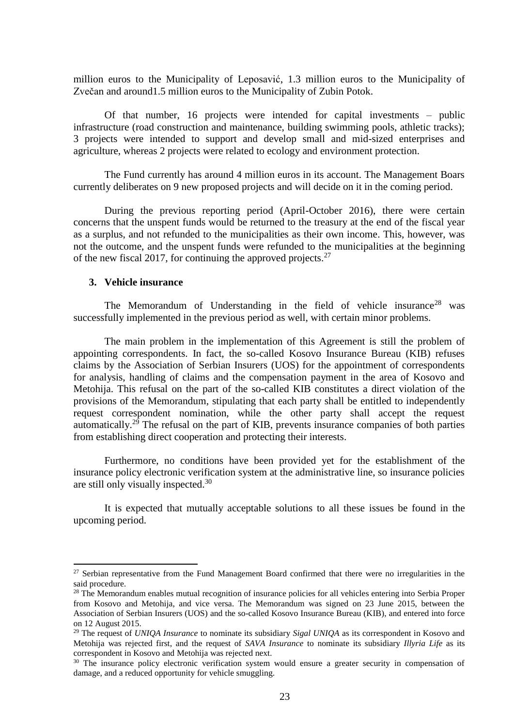million euros to the Municipality of Leposavić, 1.3 million euros to the Municipality of Zvečan and around1.5 million euros to the Municipality of Zubin Potok.

Of that number, 16 projects were intended for capital investments – public infrastructure (road construction and maintenance, building swimming pools, athletic tracks); 3 projects were intended to support and develop small and mid-sized enterprises and agriculture, whereas 2 projects were related to ecology and environment protection.

The Fund currently has around 4 million euros in its account. The Management Boars currently deliberates on 9 new proposed projects and will decide on it in the coming period.

During the previous reporting period (April-October 2016), there were certain concerns that the unspent funds would be returned to the treasury at the end of the fiscal year as a surplus, and not refunded to the municipalities as their own income. This, however, was not the outcome, and the unspent funds were refunded to the municipalities at the beginning of the new fiscal 2017, for continuing the approved projects.<sup>27</sup>

#### <span id="page-22-0"></span>**3. Vehicle insurance**

1

The Memorandum of Understanding in the field of vehicle insurance<sup>28</sup> was successfully implemented in the previous period as well, with certain minor problems.

The main problem in the implementation of this Agreement is still the problem of appointing correspondents. In fact, the so-called Kosovo Insurance Bureau (KIB) refuses claims by the Association of Serbian Insurers (UOS) for the appointment of correspondents for analysis, handling of claims and the compensation payment in the area of Kosovo and Metohija. This refusal on the part of the so-called KIB constitutes a direct violation of the provisions of the Memorandum, stipulating that each party shall be entitled to independently request correspondent nomination, while the other party shall accept the request automatically.<sup>29</sup> The refusal on the part of KIB, prevents insurance companies of both parties from establishing direct cooperation and protecting their interests.

Furthermore, no conditions have been provided yet for the establishment of the insurance policy electronic verification system at the administrative line, so insurance policies are still only visually inspected.<sup>30</sup>

It is expected that mutually acceptable solutions to all these issues be found in the upcoming period.

 $27$  Serbian representative from the Fund Management Board confirmed that there were no irregularities in the said procedure.

<sup>&</sup>lt;sup>28</sup> The Memorandum enables mutual recognition of insurance policies for all vehicles entering into Serbia Proper from Kosovo and Metohija, and vice versa. The Memorandum was signed on 23 June 2015, between the Association of Serbian Insurers (UOS) and the so-called Kosovo Insurance Bureau (KIB), and entered into force on 12 August 2015.

<sup>29</sup> The request of *UNIQA Insurance* to nominate its subsidiary *Sigal UNIQA* as its correspondent in Kosovo and Metohija was rejected first, and the request of *SAVA Insurance* to nominate its subsidiary *Illyria Life* as its correspondent in Kosovo and Metohija was rejected next*.* 

<sup>&</sup>lt;sup>30</sup> The insurance policy electronic verification system would ensure a greater security in compensation of damage, and a reduced opportunity for vehicle smuggling.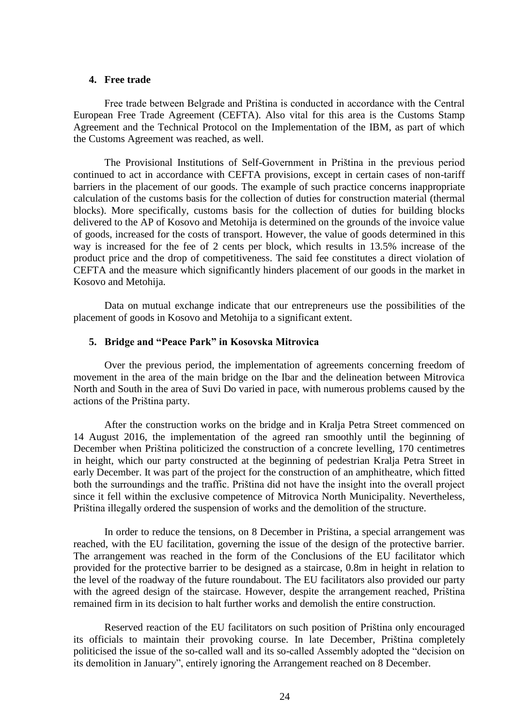#### <span id="page-23-0"></span>**4. Free trade**

Free trade between Belgrade and Priština is conducted in accordance with the Central European Free Trade Agreement (CEFTA). Also vital for this area is the Customs Stamp Agreement and the Technical Protocol on the Implementation of the IBM, as part of which the Customs Agreement was reached, as well.

The Provisional Institutions of Self-Government in Priština in the previous period continued to act in accordance with CEFTA provisions, except in certain cases of non-tariff barriers in the placement of our goods. The example of such practice concerns inappropriate calculation of the customs basis for the collection of duties for construction material (thermal blocks). More specifically, customs basis for the collection of duties for building blocks delivered to the AP of Kosovo and Metohija is determined on the grounds of the invoice value of goods, increased for the costs of transport. However, the value of goods determined in this way is increased for the fee of 2 cents per block, which results in 13.5% increase of the product price and the drop of competitiveness. The said fee constitutes a direct violation of CEFTA and the measure which significantly hinders placement of our goods in the market in Kosovo and Metohija.

Data on mutual exchange indicate that our entrepreneurs use the possibilities of the placement of goods in Kosovo and Metohija to a significant extent.

#### <span id="page-23-1"></span>**5. Bridge and "Peace Park" in Kosovska Mitrovica**

Over the previous period, the implementation of agreements concerning freedom of movement in the area of the main bridge on the Ibar and the delineation between Mitrovica North and South in the area of Suvi Do varied in pace, with numerous problems caused by the actions of the Priština party.

After the construction works on the bridge and in Kralja Petra Street commenced on 14 August 2016, the implementation of the agreed ran smoothly until the beginning of December when Priština politicized the construction of a concrete levelling, 170 centimetres in height, which our party constructed at the beginning of pedestrian Kralja Petra Street in early December. It was part of the project for the construction of an amphitheatre, which fitted both the surroundings and the traffic. Priština did not have the insight into the overall project since it fell within the exclusive competence of Mitrovica North Municipality. Nevertheless, Priština illegally ordered the suspension of works and the demolition of the structure.

In order to reduce the tensions, on 8 December in Priština, a special arrangement was reached, with the EU facilitation, governing the issue of the design of the protective barrier. The arrangement was reached in the form of the Conclusions of the EU facilitator which provided for the protective barrier to be designed as a staircase, 0.8m in height in relation to the level of the roadway of the future roundabout. The EU facilitators also provided our party with the agreed design of the staircase. However, despite the arrangement reached, Priština remained firm in its decision to halt further works and demolish the entire construction.

Reserved reaction of the EU facilitators on such position of Priština only encouraged its officials to maintain their provoking course. In late December, Priština completely politicised the issue of the so-called wall and its so-called Assembly adopted the "decision on its demolition in January", entirely ignoring the Arrangement reached on 8 December.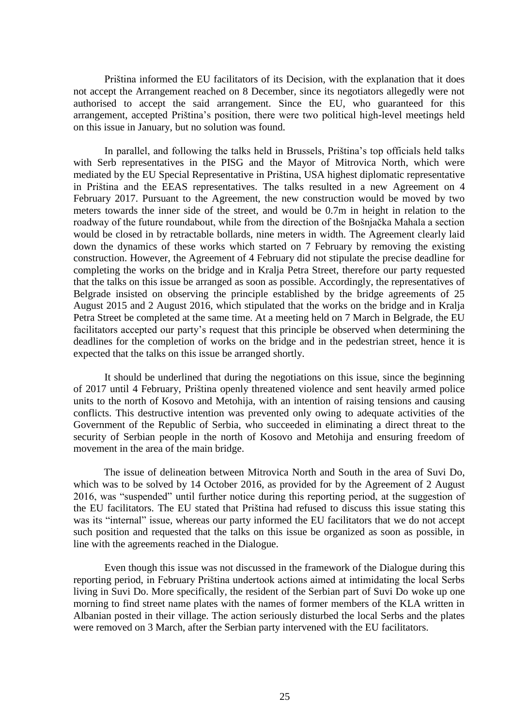Priština informed the EU facilitators of its Decision, with the explanation that it does not accept the Arrangement reached on 8 December, since its negotiators allegedly were not authorised to accept the said arrangement. Since the EU, who guaranteed for this arrangement, accepted Priština's position, there were two political high-level meetings held on this issue in January, but no solution was found.

In parallel, and following the talks held in Brussels, Priština's top officials held talks with Serb representatives in the PISG and the Mayor of Mitrovica North, which were mediated by the EU Special Representative in Priština, USA highest diplomatic representative in Priština and the EEAS representatives. The talks resulted in a new Agreement on 4 February 2017. Pursuant to the Agreement, the new construction would be moved by two meters towards the inner side of the street, and would be 0.7m in height in relation to the roadway of the future roundabout, while from the direction of the Bošnjačka Mahala a section would be closed in by retractable bollards, nine meters in width. The Agreement clearly laid down the dynamics of these works which started on 7 February by removing the existing construction. However, the Agreement of 4 February did not stipulate the precise deadline for completing the works on the bridge and in Kralja Petra Street, therefore our party requested that the talks on this issue be arranged as soon as possible. Accordingly, the representatives of Belgrade insisted on observing the principle established by the bridge agreements of 25 August 2015 and 2 August 2016, which stipulated that the works on the bridge and in Kralja Petra Street be completed at the same time. At a meeting held on 7 March in Belgrade, the EU facilitators accepted our party's request that this principle be observed when determining the deadlines for the completion of works on the bridge and in the pedestrian street, hence it is expected that the talks on this issue be arranged shortly.

It should be underlined that during the negotiations on this issue, since the beginning of 2017 until 4 February, Priština openly threatened violence and sent heavily armed police units to the north of Kosovo and Metohija, with an intention of raising tensions and causing conflicts. This destructive intention was prevented only owing to adequate activities of the Government of the Republic of Serbia, who succeeded in eliminating a direct threat to the security of Serbian people in the north of Kosovo and Metohija and ensuring freedom of movement in the area of the main bridge.

The issue of delineation between Mitrovica North and South in the area of Suvi Do, which was to be solved by 14 October 2016, as provided for by the Agreement of 2 August 2016, was "suspended" until further notice during this reporting period, at the suggestion of the EU facilitators. The EU stated that Priština had refused to discuss this issue stating this was its "internal" issue, whereas our party informed the EU facilitators that we do not accept such position and requested that the talks on this issue be organized as soon as possible, in line with the agreements reached in the Dialogue.

Even though this issue was not discussed in the framework of the Dialogue during this reporting period, in February Priština undertook actions aimed at intimidating the local Serbs living in Suvi Do. More specifically, the resident of the Serbian part of Suvi Do woke up one morning to find street name plates with the names of former members of the KLA written in Albanian posted in their village. The action seriously disturbed the local Serbs and the plates were removed on 3 March, after the Serbian party intervened with the EU facilitators.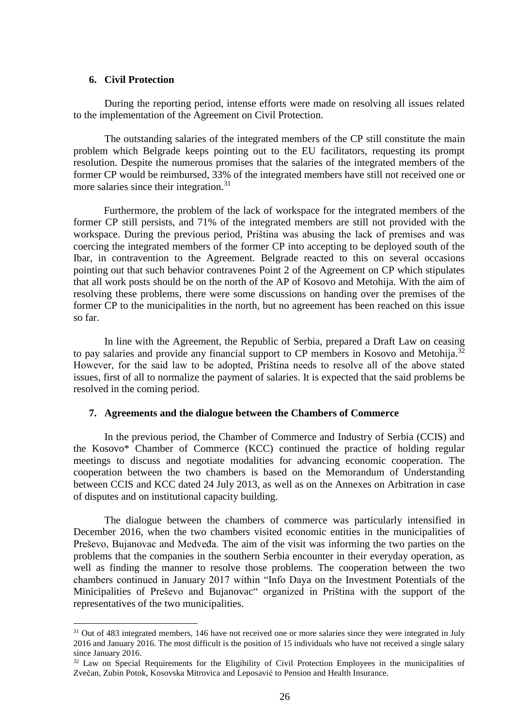#### <span id="page-25-0"></span>**6. Civil Protection**

**.** 

During the reporting period, intense efforts were made on resolving all issues related to the implementation of the Agreement on Civil Protection.

The outstanding salaries of the integrated members of the CP still constitute the main problem which Belgrade keeps pointing out to the EU facilitators, requesting its prompt resolution. Despite the numerous promises that the salaries of the integrated members of the former CP would be reimbursed, 33% of the integrated members have still not received one or more salaries since their integration.<sup>31</sup>

Furthermore, the problem of the lack of workspace for the integrated members of the former CP still persists, and 71% of the integrated members are still not provided with the workspace. During the previous period, Priština was abusing the lack of premises and was coercing the integrated members of the former CP into accepting to be deployed south of the Ibar, in contravention to the Agreement. Belgrade reacted to this on several occasions pointing out that such behavior contravenes Point 2 of the Agreement on CP which stipulates that all work posts should be on the north of the AP of Kosovo and Metohija. With the aim of resolving these problems, there were some discussions on handing over the premises of the former CP to the municipalities in the north, but no agreement has been reached on this issue so far.

In line with the Agreement, the Republic of Serbia, prepared a Draft Law on ceasing to pay salaries and provide any financial support to CP members in Kosovo and Metohija.<sup>32</sup> However, for the said law to be adopted, Priština needs to resolve all of the above stated issues, first of all to normalize the payment of salaries. It is expected that the said problems be resolved in the coming period.

#### <span id="page-25-1"></span>**7. Agreements and the dialogue between the Chambers of Commerce**

In the previous period, the Chamber of Commerce and Industry of Serbia (CCIS) and the Kosovo\* Chamber of Commerce (KCC) continued the practice of holding regular meetings to discuss and negotiate modalities for advancing economic cooperation. The cooperation between the two chambers is based on the Memorandum of Understanding between CCIS and KCC dated 24 July 2013, as well as on the Annexes on Arbitration in case of disputes and on institutional capacity building.

The dialogue between the chambers of commerce was particularly intensified in December 2016, when the two chambers visited economic entities in the municipalities of Preševo, Bujanovac and Medveđa. The aim of the visit was informing the two parties on the problems that the companies in the southern Serbia encounter in their everyday operation, as well as finding the manner to resolve those problems. The cooperation between the two chambers continued in January 2017 within "Info Daya on the Investment Potentials of the Minicipalities of Preševo and Bujanovac" organized in Priština with the support of the representatives of the two municipalities.

<sup>&</sup>lt;sup>31</sup> Out of 483 integrated members, 146 have not received one or more salaries since they were integrated in July 2016 and January 2016. The most difficult is the position of 15 individuals who have not received a single salary since January 2016.

<sup>&</sup>lt;sup>32</sup> Law on Special Requirements for the Eligibility of Civil Protection Employees in the municipalities of Zvečan, Zubin Potok, Kosovska Mitrovica and Leposavić to Pension and Health Insurance.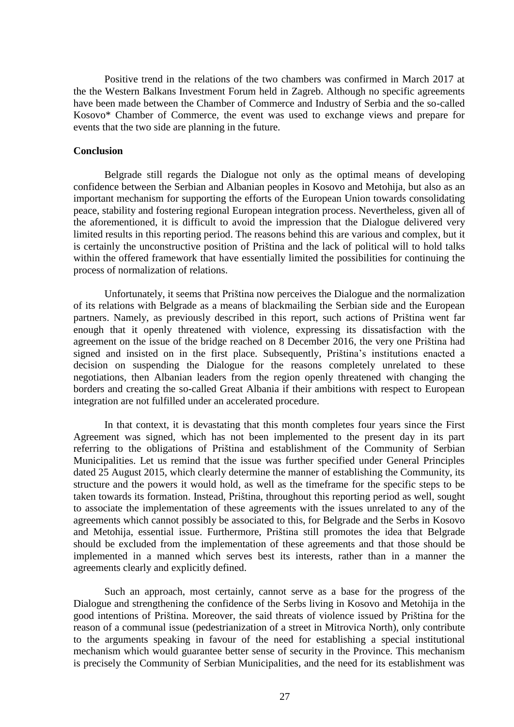Positive trend in the relations of the two chambers was confirmed in March 2017 at the the Western Balkans Investment Forum held in Zagreb. Although no specific agreements have been made between the Chamber of Commerce and Industry of Serbia and the so-called Kosovo\* Chamber of Commerce, the event was used to exchange views and prepare for events that the two side are planning in the future.

#### **Conclusion**

Belgrade still regards the Dialogue not only as the optimal means of developing confidence between the Serbian and Albanian peoples in Kosovo and Metohija, but also as an important mechanism for supporting the efforts of the European Union towards consolidating peace, stability and fostering regional European integration process. Nevertheless, given all of the aforementioned, it is difficult to avoid the impression that the Dialogue delivered very limited results in this reporting period. The reasons behind this are various and complex, but it is certainly the unconstructive position of Priština and the lack of political will to hold talks within the offered framework that have essentially limited the possibilities for continuing the process of normalization of relations.

Unfortunately, it seems that Priština now perceives the Dialogue and the normalization of its relations with Belgrade as a means of blackmailing the Serbian side and the European partners. Namely, as previously described in this report, such actions of Priština went far enough that it openly threatened with violence, expressing its dissatisfaction with the agreement on the issue of the bridge reached on 8 December 2016, the very one Priština had signed and insisted on in the first place. Subsequently, Priština's institutions enacted a decision on suspending the Dialogue for the reasons completely unrelated to these negotiations, then Albanian leaders from the region openly threatened with changing the borders and creating the so-called Great Albania if their ambitions with respect to European integration are not fulfilled under an accelerated procedure.

In that context, it is devastating that this month completes four years since the First Agreement was signed, which has not been implemented to the present day in its part referring to the obligations of Priština and establishment of the Community of Serbian Municipalities. Let us remind that the issue was further specified under General Principles dated 25 August 2015, which clearly determine the manner of establishing the Community, its structure and the powers it would hold, as well as the timeframe for the specific steps to be taken towards its formation. Instead, Priština, throughout this reporting period as well, sought to associate the implementation of these agreements with the issues unrelated to any of the agreements which cannot possibly be associated to this, for Belgrade and the Serbs in Kosovo and Metohija, essential issue. Furthermore, Priština still promotes the idea that Belgrade should be excluded from the implementation of these agreements and that those should be implemented in a manned which serves best its interests, rather than in a manner the agreements clearly and explicitly defined.

Such an approach, most certainly, cannot serve as a base for the progress of the Dialogue and strengthening the confidence of the Serbs living in Kosovo and Metohija in the good intentions of Priština. Moreover, the said threats of violence issued by Priština for the reason of a communal issue (pedestrianization of a street in Mitrovica North), only contribute to the arguments speaking in favour of the need for establishing a special institutional mechanism which would guarantee better sense of security in the Province. This mechanism is precisely the Community of Serbian Municipalities, and the need for its establishment was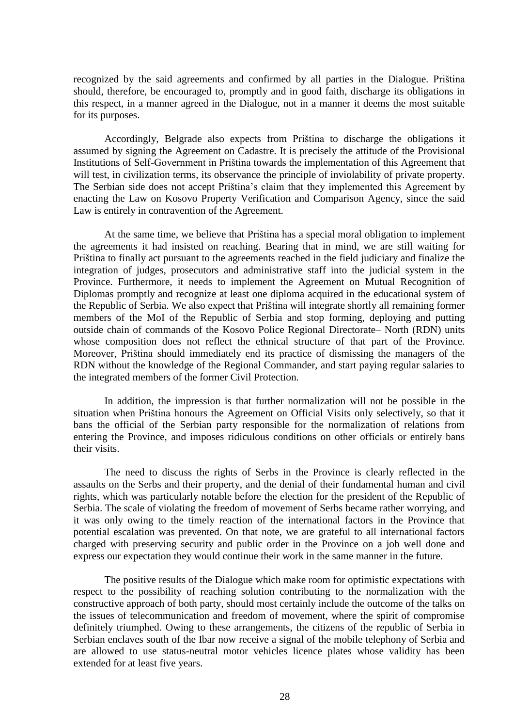recognized by the said agreements and confirmed by all parties in the Dialogue. Priština should, therefore, be encouraged to, promptly and in good faith, discharge its obligations in this respect, in a manner agreed in the Dialogue, not in a manner it deems the most suitable for its purposes.

Accordingly, Belgrade also expects from Priština to discharge the obligations it assumed by signing the Agreement on Cadastre. It is precisely the attitude of the Provisional Institutions of Self-Government in Priština towards the implementation of this Agreement that will test, in civilization terms, its observance the principle of inviolability of private property. The Serbian side does not accept Priština's claim that they implemented this Agreement by enacting the Law on Kosovo Property Verification and Comparison Agency, since the said Law is entirely in contravention of the Agreement.

At the same time, we believe that Priština has a special moral obligation to implement the agreements it had insisted on reaching. Bearing that in mind, we are still waiting for Priština to finally act pursuant to the agreements reached in the field judiciary and finalize the integration of judges, prosecutors and administrative staff into the judicial system in the Province. Furthermore, it needs to implement the Agreement on Mutual Recognition of Diplomas promptly and recognize at least one diploma acquired in the educational system of the Republic of Serbia. We also expect that Priština will integrate shortly all remaining former members of the MoI of the Republic of Serbia and stop forming, deploying and putting outside chain of commands of the Kosovo Police Regional Directorate– North (RDN) units whose composition does not reflect the ethnical structure of that part of the Province. Moreover, Priština should immediately end its practice of dismissing the managers of the RDN without the knowledge of the Regional Commander, and start paying regular salaries to the integrated members of the former Civil Protection.

In addition, the impression is that further normalization will not be possible in the situation when Priština honours the Agreement on Official Visits only selectively, so that it bans the official of the Serbian party responsible for the normalization of relations from entering the Province, and imposes ridiculous conditions on other officials or entirely bans their visits.

The need to discuss the rights of Serbs in the Province is clearly reflected in the assaults on the Serbs and their property, and the denial of their fundamental human and civil rights, which was particularly notable before the election for the president of the Republic of Serbia. The scale of violating the freedom of movement of Serbs became rather worrying, and it was only owing to the timely reaction of the international factors in the Province that potential escalation was prevented. On that note, we are grateful to all international factors charged with preserving security and public order in the Province on a job well done and express our expectation they would continue their work in the same manner in the future.

The positive results of the Dialogue which make room for optimistic expectations with respect to the possibility of reaching solution contributing to the normalization with the constructive approach of both party, should most certainly include the outcome of the talks on the issues of telecommunication and freedom of movement, where the spirit of compromise definitely triumphed. Owing to these arrangements, the citizens of the republic of Serbia in Serbian enclaves south of the Ibar now receive a signal of the mobile telephony of Serbia and are allowed to use status-neutral motor vehicles licence plates whose validity has been extended for at least five years.